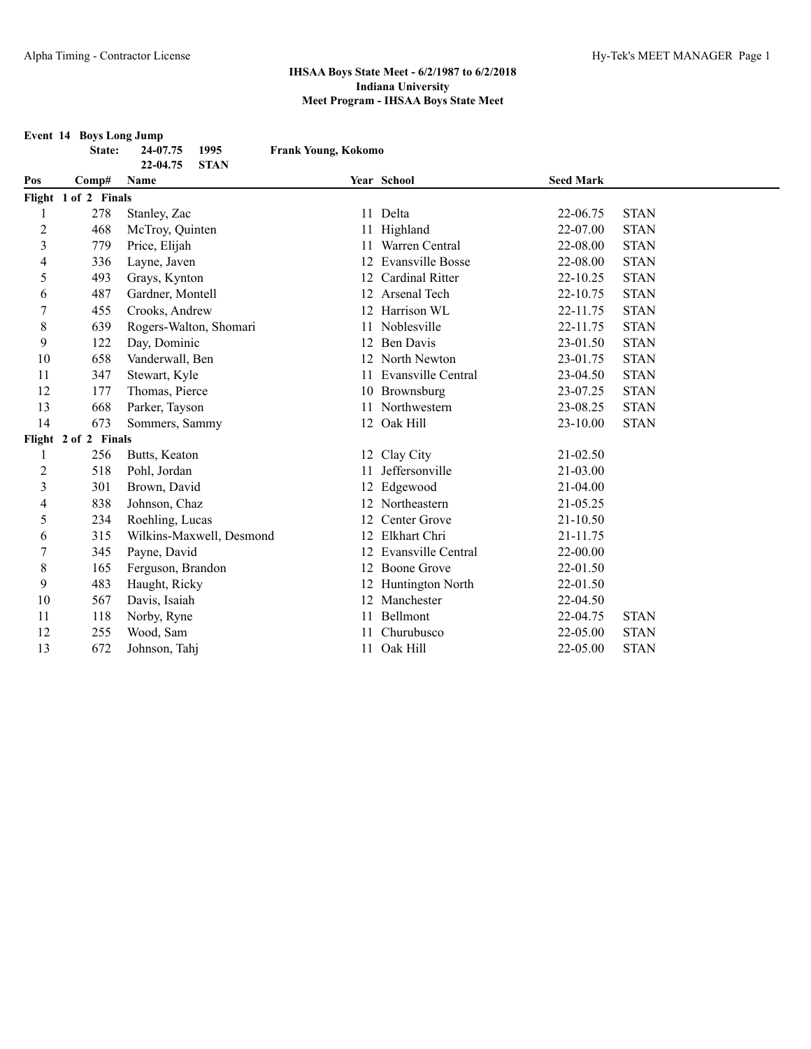**Event 14 Boys Long Jump**

**State: 24-07.75 1995 Frank Young, Kokomo**

|                  | 22-04.75<br><b>STAN</b> |                          |    |                         |                  |             |  |
|------------------|-------------------------|--------------------------|----|-------------------------|------------------|-------------|--|
| Pos              | Comp#                   | Name                     |    | Year School             | <b>Seed Mark</b> |             |  |
|                  | Flight 1 of 2 Finals    |                          |    |                         |                  |             |  |
|                  | 278                     | Stanley, Zac             |    | 11 Delta                | 22-06.75         | <b>STAN</b> |  |
| $\overline{c}$   | 468                     | McTroy, Quinten          |    | Highland                | 22-07.00         | <b>STAN</b> |  |
| 3                | 779                     | Price, Elijah            |    | 11 Warren Central       | 22-08.00         | <b>STAN</b> |  |
| $\overline{4}$   | 336                     | Layne, Javen             | 12 | <b>Evansville Bosse</b> | 22-08.00         | <b>STAN</b> |  |
| 5                | 493                     | Grays, Kynton            | 12 | Cardinal Ritter         | 22-10.25         | <b>STAN</b> |  |
| 6                | 487                     | Gardner, Montell         | 12 | Arsenal Tech            | 22-10.75         | <b>STAN</b> |  |
| 7                | 455                     | Crooks, Andrew           | 12 | Harrison WL             | 22-11.75         | <b>STAN</b> |  |
| $\,8\,$          | 639                     | Rogers-Walton, Shomari   | 11 | Noblesville             | 22-11.75         | <b>STAN</b> |  |
| 9                | 122                     | Day, Dominic             |    | 12 Ben Davis            | 23-01.50         | <b>STAN</b> |  |
| 10               | 658                     | Vanderwall, Ben          |    | 12 North Newton         | 23-01.75         | <b>STAN</b> |  |
| 11               | 347                     | Stewart, Kyle            | 11 | Evansville Central      | 23-04.50         | <b>STAN</b> |  |
| 12               | 177                     | Thomas, Pierce           |    | 10 Brownsburg           | 23-07.25         | <b>STAN</b> |  |
| 13               | 668                     | Parker, Tayson           |    | 11 Northwestern         | 23-08.25         | <b>STAN</b> |  |
| 14               | 673                     | Sommers, Sammy           |    | 12 Oak Hill             | $23 - 10.00$     | <b>STAN</b> |  |
|                  | Flight 2 of 2 Finals    |                          |    |                         |                  |             |  |
|                  | 256                     | Butts, Keaton            |    | 12 Clay City            | $21 - 02.50$     |             |  |
| 2                | 518                     | Pohl, Jordan             | 11 | Jeffersonville          | 21-03.00         |             |  |
| 3                | 301                     | Brown, David             |    | 12 Edgewood             | $21 - 04.00$     |             |  |
| 4                | 838                     | Johnson, Chaz            |    | 12 Northeastern         | 21-05.25         |             |  |
| 5                | 234                     | Roehling, Lucas          | 12 | Center Grove            | 21-10.50         |             |  |
| 6                | 315                     | Wilkins-Maxwell, Desmond | 12 | Elkhart Chri            | 21-11.75         |             |  |
| $\boldsymbol{7}$ | 345                     | Payne, David             |    | 12 Evansville Central   | 22-00.00         |             |  |
| $\,$ 8 $\,$      | 165                     | Ferguson, Brandon        |    | 12 Boone Grove          | 22-01.50         |             |  |
| 9                | 483                     | Haught, Ricky            |    | 12 Huntington North     | 22-01.50         |             |  |
| 10               | 567                     | Davis, Isaiah            |    | 12 Manchester           | 22-04.50         |             |  |
| 11               | 118                     | Norby, Ryne              | 11 | <b>Bellmont</b>         | 22-04.75         | <b>STAN</b> |  |
| 12               | 255                     | Wood, Sam                |    | Churubusco              | 22-05.00         | <b>STAN</b> |  |
| 13               | 672                     | Johnson, Tahj            |    | 11 Oak Hill             | 22-05.00         | <b>STAN</b> |  |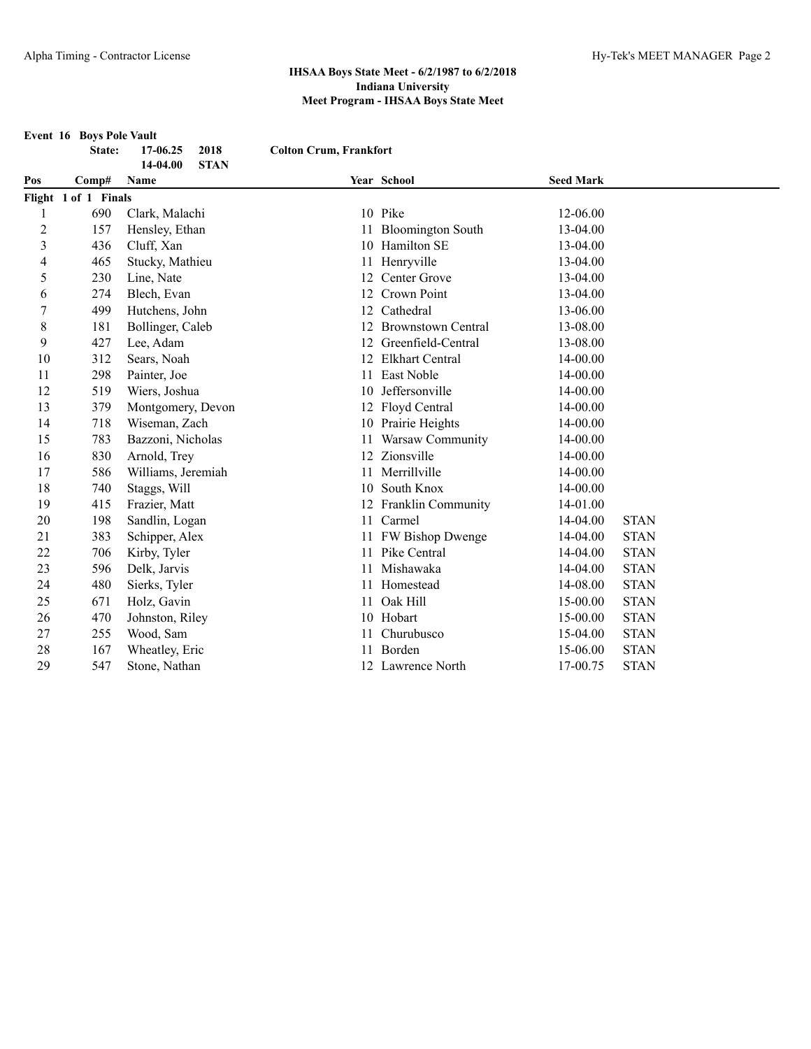**Event 16 Boys Pole Vault**

**State: 17-06.25 2018 Colton Crum, Frankfort**

| 14-04.00<br><b>STAN</b> |                      |                    |    |                           |                  |             |  |
|-------------------------|----------------------|--------------------|----|---------------------------|------------------|-------------|--|
| Pos                     | Comp#                | Name               |    | Year School               | <b>Seed Mark</b> |             |  |
|                         | Flight 1 of 1 Finals |                    |    |                           |                  |             |  |
|                         | 690                  | Clark, Malachi     |    | 10 Pike                   | 12-06.00         |             |  |
| 2                       | 157                  | Hensley, Ethan     | 11 | <b>Bloomington South</b>  | 13-04.00         |             |  |
| 3                       | 436                  | Cluff, Xan         |    | 10 Hamilton SE            | 13-04.00         |             |  |
| 4                       | 465                  | Stucky, Mathieu    | 11 | Henryville                | 13-04.00         |             |  |
| 5                       | 230                  | Line, Nate         | 12 | Center Grove              | 13-04.00         |             |  |
| 6                       | 274                  | Blech, Evan        | 12 | Crown Point               | 13-04.00         |             |  |
| $\boldsymbol{7}$        | 499                  | Hutchens, John     | 12 | Cathedral                 | 13-06.00         |             |  |
| 8                       | 181                  | Bollinger, Caleb   | 12 | <b>Brownstown Central</b> | 13-08.00         |             |  |
| 9                       | 427                  | Lee, Adam          | 12 | Greenfield-Central        | 13-08.00         |             |  |
| 10                      | 312                  | Sears, Noah        | 12 | <b>Elkhart Central</b>    | 14-00.00         |             |  |
| 11                      | 298                  | Painter, Joe       | 11 | East Noble                | 14-00.00         |             |  |
| 12                      | 519                  | Wiers, Joshua      | 10 | Jeffersonville            | 14-00.00         |             |  |
| 13                      | 379                  | Montgomery, Devon  |    | 12 Floyd Central          | 14-00.00         |             |  |
| 14                      | 718                  | Wiseman, Zach      |    | 10 Prairie Heights        | 14-00.00         |             |  |
| 15                      | 783                  | Bazzoni, Nicholas  |    | Warsaw Community          | 14-00.00         |             |  |
| 16                      | 830                  | Arnold, Trey       | 12 | Zionsville                | $14 - 00.00$     |             |  |
| 17                      | 586                  | Williams, Jeremiah | 11 | Merrillville              | 14-00.00         |             |  |
| 18                      | 740                  | Staggs, Will       | 10 | South Knox                | 14-00.00         |             |  |
| 19                      | 415                  | Frazier, Matt      |    | 12 Franklin Community     | 14-01.00         |             |  |
| 20                      | 198                  | Sandlin, Logan     |    | 11 Carmel                 | 14-04.00         | <b>STAN</b> |  |
| 21                      | 383                  | Schipper, Alex     |    | FW Bishop Dwenge          | 14-04.00         | <b>STAN</b> |  |
| 22                      | 706                  | Kirby, Tyler       | 11 | Pike Central              | $14 - 04.00$     | <b>STAN</b> |  |
| 23                      | 596                  | Delk, Jarvis       |    | Mishawaka                 | 14-04.00         | <b>STAN</b> |  |
| 24                      | 480                  | Sierks, Tyler      | 11 | Homestead                 | 14-08.00         | <b>STAN</b> |  |
| 25                      | 671                  | Holz, Gavin        | 11 | Oak Hill                  | 15-00.00         | <b>STAN</b> |  |
| 26                      | 470                  | Johnston, Riley    |    | 10 Hobart                 | 15-00.00         | <b>STAN</b> |  |
| 27                      | 255                  | Wood, Sam          | 11 | Churubusco                | 15-04.00         | <b>STAN</b> |  |
| 28                      | 167                  | Wheatley, Eric     |    | Borden                    | 15-06.00         | <b>STAN</b> |  |
| 29                      | 547                  | Stone, Nathan      |    | 12 Lawrence North         | 17-00.75         | <b>STAN</b> |  |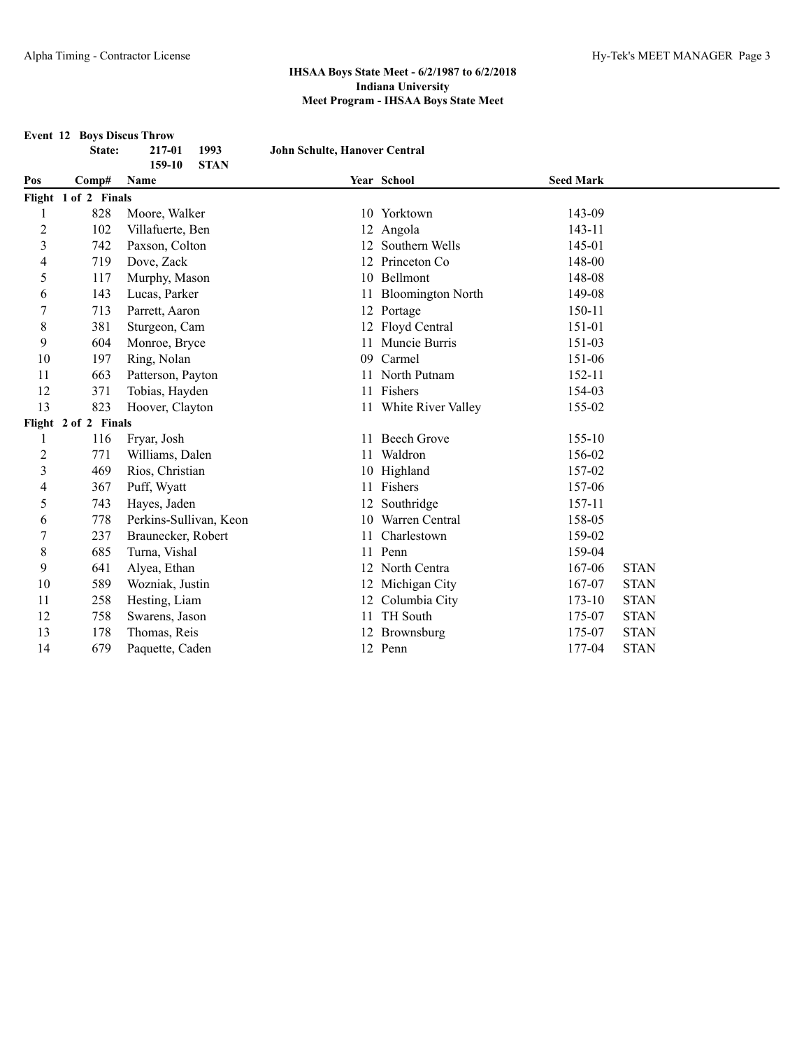|                  | <b>Event 12 Boys Discus Throw</b> |                               |                               |                          |                  |             |
|------------------|-----------------------------------|-------------------------------|-------------------------------|--------------------------|------------------|-------------|
|                  | State:                            | 1993<br>217-01                | John Schulte, Hanover Central |                          |                  |             |
| Pos              | Comp#                             | 159-10<br><b>STAN</b><br>Name |                               | Year School              | <b>Seed Mark</b> |             |
|                  | Flight 1 of 2 Finals              |                               |                               |                          |                  |             |
| 1                | 828                               | Moore, Walker                 |                               | 10 Yorktown              | 143-09           |             |
| $\sqrt{2}$       | 102                               | Villafuerte, Ben              |                               | 12 Angola                | 143-11           |             |
| $\mathfrak{Z}$   | 742                               | Paxson, Colton                |                               | 12 Southern Wells        | 145-01           |             |
| $\overline{4}$   | 719                               | Dove, Zack                    |                               | 12 Princeton Co          | 148-00           |             |
| 5                | 117                               | Murphy, Mason                 |                               | 10 Bellmont              | 148-08           |             |
| 6                | 143                               | Lucas, Parker                 | 11                            | <b>Bloomington North</b> | 149-08           |             |
| $\boldsymbol{7}$ | 713                               | Parrett, Aaron                |                               | 12 Portage               | 150-11           |             |
| 8                | 381                               | Sturgeon, Cam                 |                               | 12 Floyd Central         | 151-01           |             |
| 9                | 604                               | Monroe, Bryce                 |                               | 11 Muncie Burris         | 151-03           |             |
| 10               | 197                               | Ring, Nolan                   | 09                            | Carmel                   | 151-06           |             |
| 11               | 663                               | Patterson, Payton             |                               | North Putnam             | 152-11           |             |
| 12               | 371                               | Tobias, Hayden                |                               | 11 Fishers               | 154-03           |             |
| 13               | 823                               | Hoover, Clayton               |                               | 11 White River Valley    | 155-02           |             |
|                  | Flight 2 of 2 Finals              |                               |                               |                          |                  |             |
| 1                | 116                               | Fryar, Josh                   | 11.                           | <b>Beech Grove</b>       | 155-10           |             |
| $\overline{2}$   | 771                               | Williams, Dalen               | 11                            | Waldron                  | 156-02           |             |
| $\overline{3}$   | 469                               | Rios, Christian               | 10                            | Highland                 | 157-02           |             |
| 4                | 367                               | Puff, Wyatt                   |                               | 11 Fishers               | 157-06           |             |
| 5                | 743                               | Hayes, Jaden                  | 12                            | Southridge               | 157-11           |             |
| 6                | 778                               | Perkins-Sullivan, Keon        |                               | 10 Warren Central        | 158-05           |             |
| $\boldsymbol{7}$ | 237                               | Braunecker, Robert            | 11                            | Charlestown              | 159-02           |             |
| $\,$ 8 $\,$      | 685                               | Turna, Vishal                 | 11                            | Penn                     | 159-04           |             |
| 9                | 641                               | Alyea, Ethan                  |                               | 12 North Centra          | 167-06           | <b>STAN</b> |
| 10               | 589                               | Wozniak, Justin               |                               | 12 Michigan City         | 167-07           | <b>STAN</b> |
| 11               | 258                               | Hesting, Liam                 |                               | 12 Columbia City         | $173 - 10$       | <b>STAN</b> |
| 12               | 758                               | Swarens, Jason                |                               | 11 TH South              | 175-07           | <b>STAN</b> |
| 13               | 178                               | Thomas, Reis                  |                               | 12 Brownsburg            | 175-07           | <b>STAN</b> |
| 14               | 679                               | Paquette, Caden               |                               | 12 Penn                  | 177-04           | <b>STAN</b> |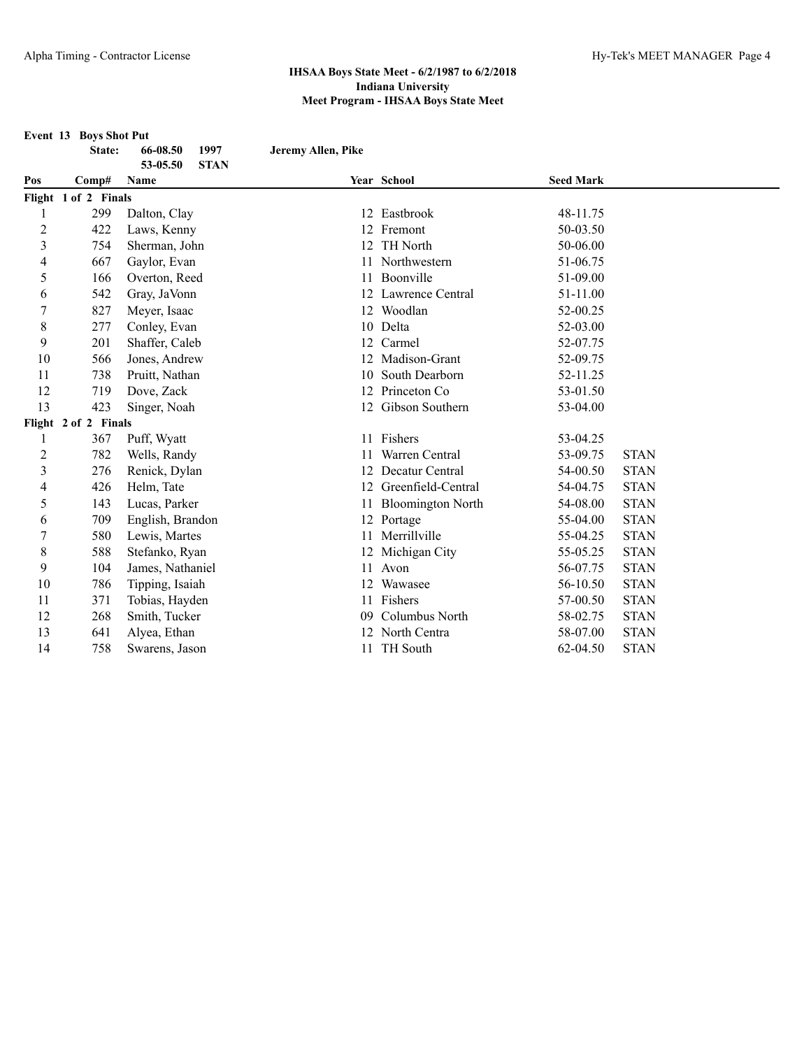|                | <b>Event 13 Boys Shot Put</b> |                                 |                    |                          |                  |             |
|----------------|-------------------------------|---------------------------------|--------------------|--------------------------|------------------|-------------|
|                | State:                        | 66-08.50<br>1997                | Jeremy Allen, Pike |                          |                  |             |
| Pos            | Comp#                         | <b>STAN</b><br>53-05.50<br>Name |                    | Year School              | <b>Seed Mark</b> |             |
|                | Flight 1 of 2 Finals          |                                 |                    |                          |                  |             |
|                | 299                           | Dalton, Clay                    |                    | 12 Eastbrook             | 48-11.75         |             |
| $\overline{c}$ | 422                           | Laws, Kenny                     |                    | 12 Fremont               | 50-03.50         |             |
| 3              | 754                           | Sherman, John                   | 12                 | <b>TH</b> North          | 50-06.00         |             |
| 4              | 667                           | Gaylor, Evan                    | 11                 | Northwestern             | 51-06.75         |             |
| 5              | 166                           | Overton, Reed                   | 11                 | Boonville                | 51-09.00         |             |
| 6              | 542                           | Gray, JaVonn                    |                    | 12 Lawrence Central      | 51-11.00         |             |
| $\overline{7}$ | 827                           | Meyer, Isaac                    |                    | 12 Woodlan               | 52-00.25         |             |
| 8              | 277                           | Conley, Evan                    |                    | 10 Delta                 | 52-03.00         |             |
| 9              | 201                           | Shaffer, Caleb                  |                    | 12 Carmel                | 52-07.75         |             |
| 10             | 566                           | Jones, Andrew                   |                    | 12 Madison-Grant         | 52-09.75         |             |
| 11             | 738                           | Pruitt, Nathan                  |                    | 10 South Dearborn        | 52-11.25         |             |
| 12             | 719                           | Dove, Zack                      | 12                 | Princeton Co             | 53-01.50         |             |
| 13             | 423                           | Singer, Noah                    |                    | 12 Gibson Southern       | 53-04.00         |             |
|                | Flight 2 of 2 Finals          |                                 |                    |                          |                  |             |
| 1              | 367                           | Puff, Wyatt                     | 11                 | Fishers                  | 53-04.25         |             |
| $\overline{c}$ | 782                           | Wells, Randy                    |                    | Warren Central           | 53-09.75         | <b>STAN</b> |
| 3              | 276                           | Renick, Dylan                   | 12                 | Decatur Central          | 54-00.50         | <b>STAN</b> |
| 4              | 426                           | Helm, Tate                      |                    | 12 Greenfield-Central    | 54-04.75         | <b>STAN</b> |
| 5              | 143                           | Lucas, Parker                   | 11                 | <b>Bloomington North</b> | 54-08.00         | <b>STAN</b> |
| 6              | 709                           | English, Brandon                |                    | 12 Portage               | 55-04.00         | <b>STAN</b> |
| $\overline{7}$ | 580                           | Lewis, Martes                   |                    | 11 Merrillville          | 55-04.25         | <b>STAN</b> |
| 8              | 588                           | Stefanko, Ryan                  |                    | 12 Michigan City         | 55-05.25         | <b>STAN</b> |
| 9              | 104                           | James, Nathaniel                | 11                 | Avon                     | 56-07.75         | <b>STAN</b> |
| 10             | 786                           | Tipping, Isaiah                 | 12                 | Wawasee                  | 56-10.50         | <b>STAN</b> |
| 11             | 371                           | Tobias, Hayden                  | 11                 | Fishers                  | 57-00.50         | <b>STAN</b> |
| 12             | 268                           | Smith, Tucker                   | 09                 | Columbus North           | 58-02.75         | <b>STAN</b> |
| 13             | 641                           | Alyea, Ethan                    |                    | 12 North Centra          | 58-07.00         | <b>STAN</b> |
| 14             | 758                           | Swarens, Jason                  | 11                 | TH South                 | 62-04.50         | <b>STAN</b> |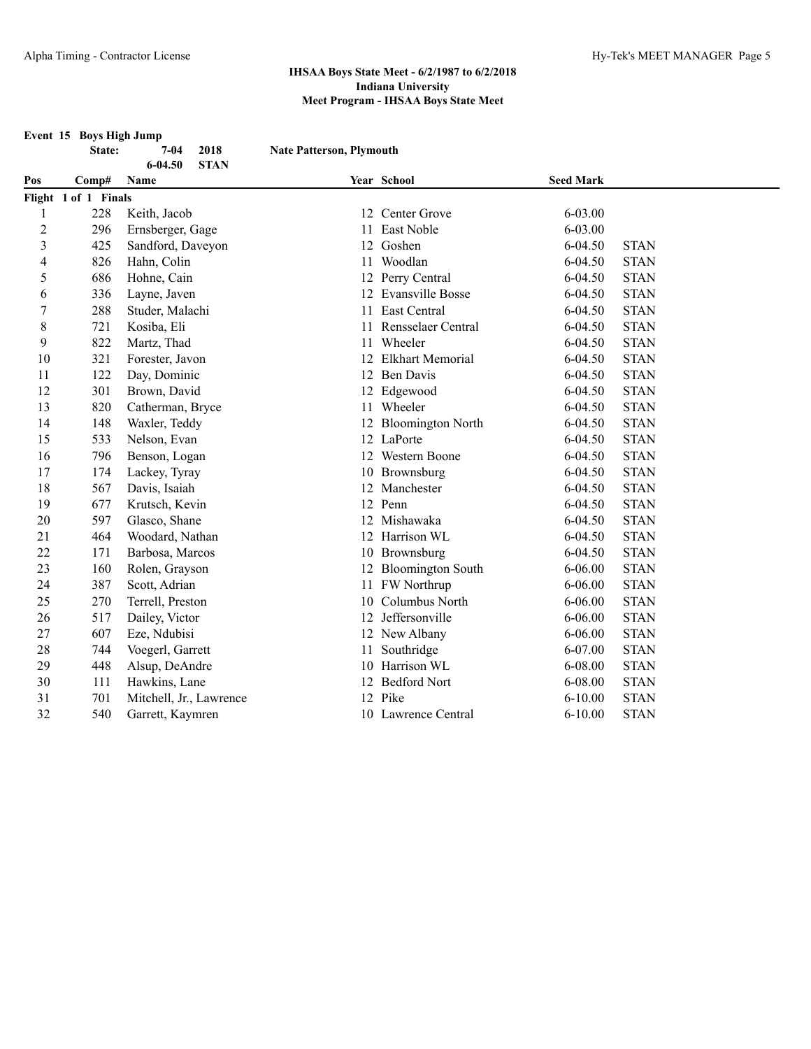**Event 15 Boys High Jump**

**State: 7-04 2018 Nate Patterson, Plymouth**

| $6 - 04.50$<br><b>STAN</b> |                      |                         |    |                          |                  |             |  |
|----------------------------|----------------------|-------------------------|----|--------------------------|------------------|-------------|--|
| Pos                        | Comp#                | Name                    |    | Year School              | <b>Seed Mark</b> |             |  |
|                            | Flight 1 of 1 Finals |                         |    |                          |                  |             |  |
| $\mathbf{1}$               | 228                  | Keith, Jacob            |    | 12 Center Grove          | 6-03.00          |             |  |
| $\overline{2}$             | 296                  | Ernsberger, Gage        | 11 | East Noble               | 6-03.00          |             |  |
| 3                          | 425                  | Sandford, Daveyon       | 12 | Goshen                   | $6 - 04.50$      | <b>STAN</b> |  |
| 4                          | 826                  | Hahn, Colin             | 11 | Woodlan                  | $6 - 04.50$      | <b>STAN</b> |  |
| 5                          | 686                  | Hohne, Cain             |    | 12 Perry Central         | 6-04.50          | <b>STAN</b> |  |
| 6                          | 336                  | Layne, Javen            | 12 | <b>Evansville Bosse</b>  | $6 - 04.50$      | <b>STAN</b> |  |
| $\boldsymbol{7}$           | 288                  | Studer, Malachi         | 11 | East Central             | 6-04.50          | <b>STAN</b> |  |
| $\,$ 8 $\,$                | 721                  | Kosiba, Eli             | 11 | Rensselaer Central       | $6 - 04.50$      | <b>STAN</b> |  |
| 9                          | 822                  | Martz, Thad             | 11 | Wheeler                  | $6 - 04.50$      | <b>STAN</b> |  |
| 10                         | 321                  | Forester, Javon         | 12 | <b>Elkhart Memorial</b>  | $6 - 04.50$      | <b>STAN</b> |  |
| 11                         | 122                  | Day, Dominic            |    | 12 Ben Davis             | $6 - 04.50$      | <b>STAN</b> |  |
| 12                         | 301                  | Brown, David            |    | 12 Edgewood              | $6 - 04.50$      | <b>STAN</b> |  |
| 13                         | 820                  | Catherman, Bryce        |    | 11 Wheeler               | $6 - 04.50$      | <b>STAN</b> |  |
| 14                         | 148                  | Waxler, Teddy           | 12 | <b>Bloomington North</b> | $6 - 04.50$      | <b>STAN</b> |  |
| 15                         | 533                  | Nelson, Evan            |    | 12 LaPorte               | $6 - 04.50$      | <b>STAN</b> |  |
| 16                         | 796                  | Benson, Logan           |    | 12 Western Boone         | 6-04.50          | <b>STAN</b> |  |
| 17                         | 174                  | Lackey, Tyray           |    | 10 Brownsburg            | $6 - 04.50$      | <b>STAN</b> |  |
| 18                         | 567                  | Davis, Isaiah           |    | 12 Manchester            | $6 - 04.50$      | <b>STAN</b> |  |
| 19                         | 677                  | Krutsch, Kevin          |    | 12 Penn                  | $6 - 04.50$      | <b>STAN</b> |  |
| 20                         | 597                  | Glasco, Shane           |    | 12 Mishawaka             | $6 - 04.50$      | <b>STAN</b> |  |
| 21                         | 464                  | Woodard, Nathan         |    | 12 Harrison WL           | $6 - 04.50$      | <b>STAN</b> |  |
| 22                         | 171                  | Barbosa, Marcos         |    | 10 Brownsburg            | 6-04.50          | <b>STAN</b> |  |
| 23                         | 160                  | Rolen, Grayson          |    | 12 Bloomington South     | $6 - 06.00$      | <b>STAN</b> |  |
| 24                         | 387                  | Scott, Adrian           |    | 11 FW Northrup           | $6 - 06.00$      | <b>STAN</b> |  |
| 25                         | 270                  | Terrell, Preston        | 10 | Columbus North           | $6 - 06.00$      | <b>STAN</b> |  |
| 26                         | 517                  | Dailey, Victor          |    | 12 Jeffersonville        | $6 - 06.00$      | <b>STAN</b> |  |
| 27                         | 607                  | Eze, Ndubisi            |    | 12 New Albany            | $6 - 06.00$      | <b>STAN</b> |  |
| 28                         | 744                  | Voegerl, Garrett        | 11 | Southridge               | 6-07.00          | <b>STAN</b> |  |
| 29                         | 448                  | Alsup, DeAndre          | 10 | Harrison WL              | 6-08.00          | <b>STAN</b> |  |
| 30                         | 111                  | Hawkins, Lane           |    | 12 Bedford Nort          | 6-08.00          | <b>STAN</b> |  |
| 31                         | 701                  | Mitchell, Jr., Lawrence |    | 12 Pike                  | $6 - 10.00$      | <b>STAN</b> |  |
| 32                         | 540                  | Garrett, Kaymren        |    | 10 Lawrence Central      | $6 - 10.00$      | <b>STAN</b> |  |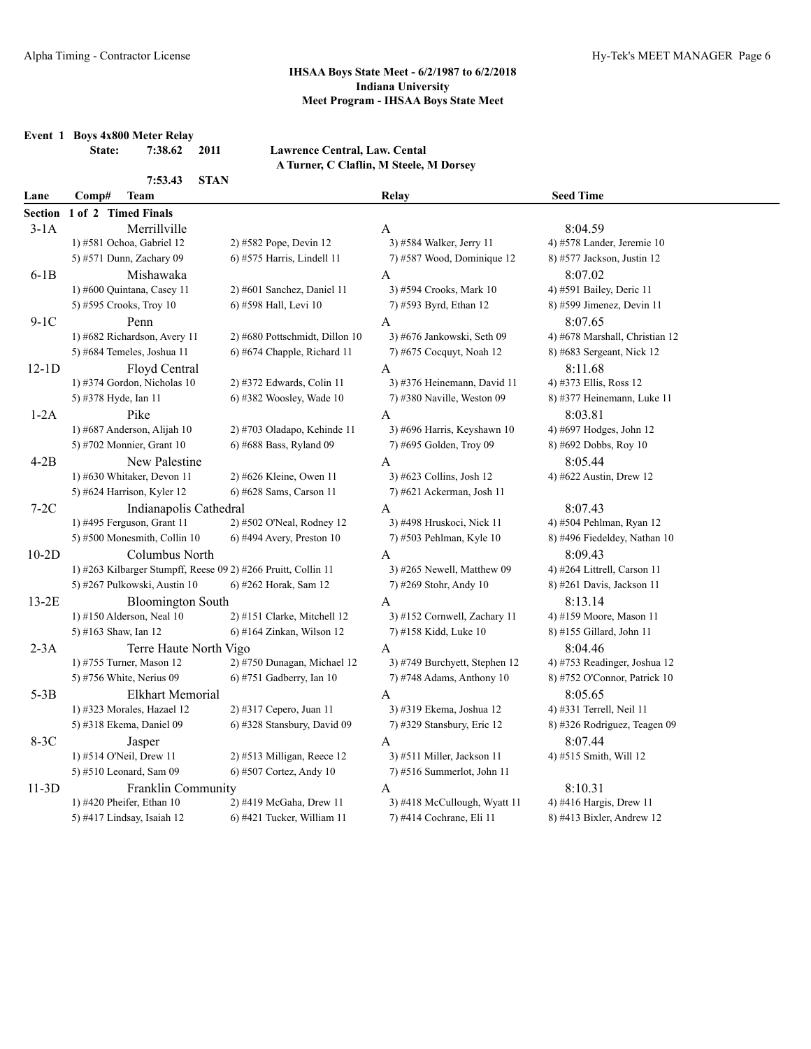**Event 1 Boys 4x800 Meter Relay**

**7:53.43 STAN**

**State: 7:38.62 2011 Lawrence Central, Law. Cental A Turner, C Claflin, M Steele, M Dorsey**

| Lane           | Comp#<br>Team                                                 |                                | Relay                              | <b>Seed Time</b>                        |
|----------------|---------------------------------------------------------------|--------------------------------|------------------------------------|-----------------------------------------|
| <b>Section</b> | 1 of 2 Timed Finals                                           |                                |                                    |                                         |
| $3-1A$         | Merrillville                                                  |                                | A                                  | 8:04.59                                 |
|                | 1) #581 Ochoa, Gabriel 12                                     | 2) #582 Pope, Devin 12         | 3) #584 Walker, Jerry 11           | 4) #578 Lander, Jeremie $10$            |
|                | 5) #571 Dunn, Zachary 09                                      | 6) #575 Harris, Lindell 11     | 7) #587 Wood, Dominique 12         | 8) #577 Jackson, Justin 12              |
| $6-1B$         | Mishawaka                                                     |                                | A                                  | 8:07.02                                 |
|                | 1) #600 Quintana, Casey 11                                    | 2) #601 Sanchez, Daniel 11     | 3) #594 Crooks, Mark 10            | 4) #591 Bailey, Deric 11                |
|                | 5) #595 Crooks, Troy 10                                       | 6) #598 Hall, Levi 10          | 7) #593 Byrd, Ethan 12             | 8) #599 Jimenez, Devin 11               |
| $9-1C$         | Penn                                                          |                                | $\mathbf{A}$                       | 8:07.65                                 |
|                | 1) #682 Richardson, Avery 11                                  | 2) #680 Pottschmidt, Dillon 10 | 3) #676 Jankowski, Seth 09         | 4) #678 Marshall, Christian 12          |
|                | 5) #684 Temeles, Joshua 11                                    | 6) #674 Chapple, Richard 11    | 7) #675 Cocquyt, Noah 12           | 8) #683 Sergeant, Nick 12               |
| $12-1D$        | Floyd Central                                                 |                                | A                                  | 8:11.68                                 |
|                | 1) #374 Gordon, Nicholas 10                                   | 2) #372 Edwards, Colin 11      | 3) #376 Heinemann, David 11        | 4) #373 Ellis, Ross 12                  |
|                | 5) #378 Hyde, Ian 11                                          | $6$ ) #382 Woosley, Wade 10    | 7) #380 Naville, Weston 09         | 8) #377 Heinemann, Luke 11              |
| $1-2A$         | Pike                                                          |                                | A                                  | 8:03.81                                 |
|                | 1) #687 Anderson, Alijah 10                                   | 2) #703 Oladapo, Kehinde 11    | 3) #696 Harris, Keyshawn 10        | 4) #697 Hodges, John 12                 |
|                | 5) #702 Monnier, Grant 10                                     | 6) #688 Bass, Ryland 09        | 7) #695 Golden, Troy 09            | 8) #692 Dobbs, Roy 10                   |
| $4-2B$         | New Palestine                                                 |                                | A                                  | 8:05.44                                 |
|                | 1) #630 Whitaker, Devon 11                                    | 2) #626 Kleine, Owen 11        | 3) #623 Collins, Josh 12           | 4) #622 Austin, Drew 12                 |
|                | 5) #624 Harrison, Kyler 12                                    | 6) #628 Sams, Carson 11        | 7) #621 Ackerman, Josh 11          |                                         |
| $7-2C$         | Indianapolis Cathedral                                        |                                | A                                  | 8:07.43                                 |
|                | 1) #495 Ferguson, Grant 11                                    | 2) #502 O'Neal, Rodney 12      | 3) #498 Hruskoci, Nick 11          | 4) #504 Pehlman, Ryan 12                |
|                | 5) #500 Monesmith, Collin 10                                  | $6$ ) #494 Avery, Preston 10   | 7) #503 Pehlman, Kyle 10           | 8) #496 Fiedeldey, Nathan 10            |
| $10-2D$        | Columbus North                                                |                                | A                                  | 8:09.43                                 |
|                | 1) #263 Kilbarger Stumpff, Reese 09 2) #266 Pruitt, Collin 11 |                                | 3) #265 Newell, Matthew 09         | 4) #264 Littrell, Carson 11             |
|                | 5) #267 Pulkowski, Austin 10                                  | 6) #262 Horak, Sam 12          | 7) #269 Stohr, Andy 10             | 8) #261 Davis, Jackson 11               |
|                |                                                               |                                | A                                  | 8:13.14                                 |
| $13-2E$        | <b>Bloomington South</b><br>1) #150 Alderson, Neal 10         | 2) #151 Clarke, Mitchell 12    | 3) #152 Cornwell, Zachary 11       | 4) #159 Moore, Mason 11                 |
|                | 5) #163 Shaw, Ian 12                                          | 6) #164 Zinkan, Wilson 12      | 7) #158 Kidd, Luke 10              | 8) #155 Gillard, John 11                |
|                |                                                               |                                |                                    |                                         |
| $2-3A$         | Terre Haute North Vigo<br>1) #755 Turner, Mason 12            | 2) #750 Dunagan, Michael 12    | A<br>3) #749 Burchyett, Stephen 12 | 8:04.46<br>4) #753 Readinger, Joshua 12 |
|                | 5) #756 White, Nerius 09                                      | $6$ ) #751 Gadberry, Ian 10    | 7) #748 Adams, Anthony $10$        | 8) #752 O'Connor, Patrick 10            |
|                |                                                               |                                |                                    |                                         |
| $5-3B$         | <b>Elkhart Memorial</b>                                       |                                | A                                  | 8:05.65                                 |
|                | 1) #323 Morales, Hazael 12                                    | 2) #317 Cepero, Juan 11        | 3) #319 Ekema, Joshua 12           | 4) #331 Terrell, Neil 11                |
|                | 5) #318 Ekema, Daniel 09                                      | 6) #328 Stansbury, David 09    | 7) #329 Stansbury, Eric 12         | 8) #326 Rodriguez, Teagen 09            |
| 8-3C           | Jasper                                                        |                                | A                                  | 8:07.44                                 |
|                | 1) #514 O'Neil, Drew 11                                       | 2) #513 Milligan, Reece 12     | 3) #511 Miller, Jackson 11         | 4) #515 Smith, Will 12                  |
|                | 5) #510 Leonard, Sam 09                                       | 6) #507 Cortez, Andy 10        | 7) #516 Summerlot, John 11         |                                         |
| $11-3D$        | Franklin Community                                            |                                | A                                  | 8:10.31                                 |
|                | 1) #420 Pheifer, Ethan $10$                                   | 2) #419 McGaha, Drew 11        | 3) #418 McCullough, Wyatt 11       | 4) #416 Hargis, Drew 11                 |
|                | 5) #417 Lindsay, Isaiah 12                                    | 6) #421 Tucker, William 11     | 7) #414 Cochrane, Eli 11           | 8) #413 Bixler, Andrew 12               |
|                |                                                               |                                |                                    |                                         |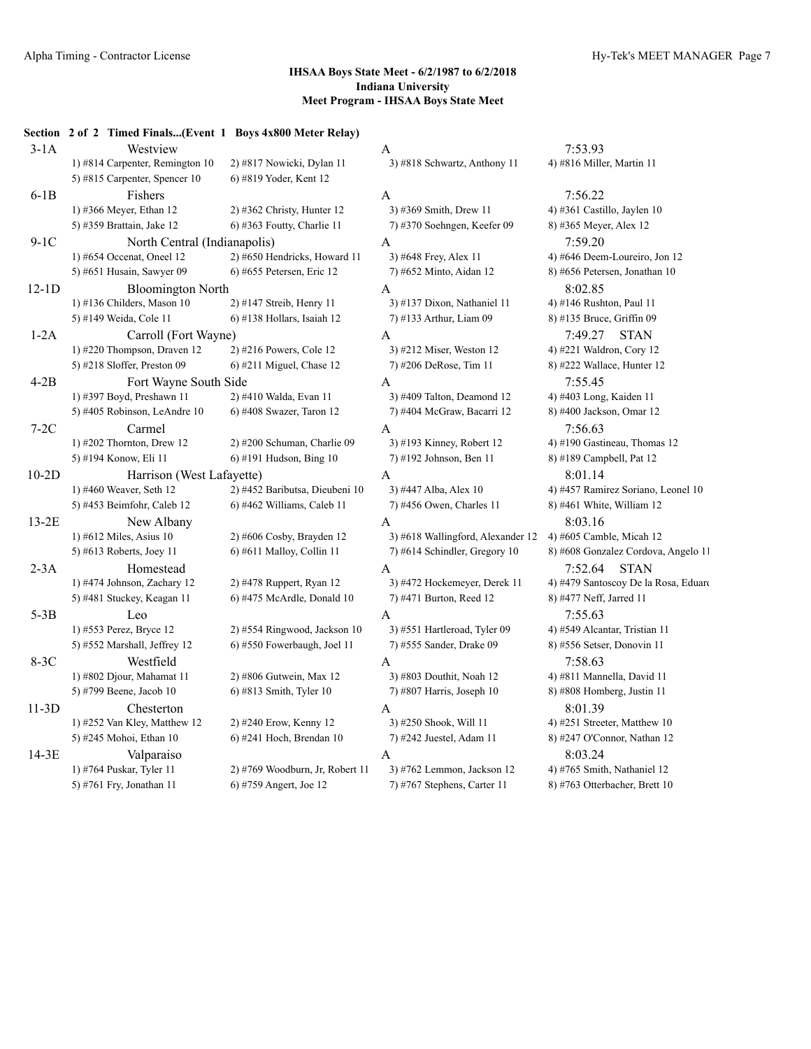|         | Section 2 of 2 Timed Finals(Event 1 Boys 4x800 Meter Relay) |                                 |                                   |                                      |
|---------|-------------------------------------------------------------|---------------------------------|-----------------------------------|--------------------------------------|
| $3-1A$  | Westview                                                    |                                 | A                                 | 7:53.93                              |
|         | 1) #814 Carpenter, Remington 10                             | 2) #817 Nowicki, Dylan 11       | 3) #818 Schwartz, Anthony 11      | 4) #816 Miller, Martin 11            |
|         | 5) #815 Carpenter, Spencer 10                               | 6) #819 Yoder, Kent 12          |                                   |                                      |
| $6-1B$  | Fishers                                                     |                                 | A                                 | 7:56.22                              |
|         | 1) #366 Meyer, Ethan 12                                     | 2) #362 Christy, Hunter 12      | 3) #369 Smith, Drew 11            | 4) #361 Castillo, Jaylen 10          |
|         | 5) #359 Brattain, Jake 12                                   | $6$ ) #363 Foutty, Charlie 11   | 7) #370 Soehngen, Keefer 09       | 8) #365 Meyer, Alex 12               |
| $9-1C$  | North Central (Indianapolis)                                |                                 | A                                 | 7:59.20                              |
|         | 1) #654 Occenat, Oneel $12$                                 | 2) #650 Hendricks, Howard 11    | 3) #648 Frey, Alex 11             | 4) #646 Deem-Loureiro, Jon 12        |
|         | 5) #651 Husain, Sawyer 09                                   | 6) #655 Petersen, Eric 12       | 7) #652 Minto, Aidan 12           | 8) #656 Petersen, Jonathan 10        |
| $12-1D$ | <b>Bloomington North</b>                                    |                                 | A                                 | 8:02.85                              |
|         | 1) #136 Childers, Mason $10$                                | 2) #147 Streib, Henry 11        | 3) #137 Dixon, Nathaniel 11       | 4) #146 Rushton, Paul 11             |
|         | 5) #149 Weida, Cole 11                                      | 6) #138 Hollars, Isaiah 12      | 7) #133 Arthur, Liam 09           | 8) #135 Bruce, Griffin 09            |
| $1-2A$  | Carroll (Fort Wayne)                                        |                                 | A                                 | 7:49.27<br><b>STAN</b>               |
|         | 1) #220 Thompson, Draven 12                                 | 2) #216 Powers, Cole 12         | 3) #212 Miser, Weston 12          | 4) #221 Waldron, Cory 12             |
|         | 5) #218 Sloffer, Preston 09                                 | $6$ ) #211 Miguel, Chase 12     | 7) #206 DeRose, Tim 11            | 8) #222 Wallace, Hunter 12           |
| $4-2B$  | Fort Wayne South Side                                       |                                 | A                                 | 7:55.45                              |
|         | 1) #397 Boyd, Preshawn 11                                   | 2) #410 Walda, Evan 11          | 3) #409 Talton, Deamond 12        | 4) #403 Long, Kaiden 11              |
|         | 5) #405 Robinson, LeAndre 10                                | $6$ ) #408 Swazer, Taron 12     | 7) #404 McGraw, Bacarri 12        | 8) #400 Jackson, Omar 12             |
| $7-2C$  | Carmel                                                      |                                 | A                                 | 7:56.63                              |
|         | 1) #202 Thornton, Drew $12$                                 | 2) #200 Schuman, Charlie 09     | 3) #193 Kinney, Robert 12         | 4) #190 Gastineau, Thomas 12         |
|         | 5) #194 Konow, Eli 11                                       | $6$ ) #191 Hudson, Bing 10      | 7) #192 Johnson, Ben 11           | 8) #189 Campbell, Pat 12             |
| $10-2D$ | Harrison (West Lafayette)                                   |                                 | $\mathbf{A}$                      | 8:01.14                              |
|         | 1) #460 Weaver, Seth 12                                     | 2) #452 Baributsa, Dieubeni 10  | 3) #447 Alba, Alex 10             | 4) #457 Ramirez Soriano, Leonel 10   |
|         | 5) #453 Beimfohr, Caleb 12                                  | 6) #462 Williams, Caleb 11      | 7) #456 Owen, Charles 11          | 8) #461 White, William 12            |
| $13-2E$ | New Albany                                                  |                                 | A                                 | 8:03.16                              |
|         | 1) #612 Miles, Asius $10$                                   | 2) #606 Cosby, Brayden 12       | 3) #618 Wallingford, Alexander 12 | 4) #605 Camble, Micah 12             |
|         | 5) #613 Roberts, Joey 11                                    | 6) #611 Malloy, Collin 11       | 7) #614 Schindler, Gregory 10     | 8) #608 Gonzalez Cordova, Angelo 11  |
| $2-3A$  | Homestead                                                   |                                 | A                                 | 7:52.64<br><b>STAN</b>               |
|         | 1) #474 Johnson, Zachary 12                                 | 2) #478 Ruppert, Ryan 12        | 3) #472 Hockemeyer, Derek 11      | 4) #479 Santoscoy De la Rosa, Eduard |
|         | 5) #481 Stuckey, Keagan 11                                  | 6) #475 McArdle, Donald 10      | 7) #471 Burton, Reed 12           | 8) #477 Neff, Jarred 11              |
| $5-3B$  | Leo                                                         |                                 | A                                 | 7:55.63                              |
|         | 1) #553 Perez, Bryce 12                                     | 2) #554 Ringwood, Jackson 10    | 3) #551 Hartleroad, Tyler 09      | 4) #549 Alcantar, Tristian 11        |
|         | 5) #552 Marshall, Jeffrey 12                                | 6) #550 Fowerbaugh, Joel 11     | 7) #555 Sander, Drake 09          | 8) #556 Setser, Donovin 11           |
| $8-3C$  | Westfield                                                   |                                 | A                                 | 7:58.63                              |
|         | 1) #802 Djour, Mahamat 11                                   | 2) #806 Gutwein, Max 12         | 3) #803 Douthit, Noah 12          | 4) #811 Mannella, David 11           |
|         | 5) #799 Beene, Jacob 10                                     | $6$ ) #813 Smith, Tyler 10      | $(7)$ #807 Harris, Joseph 10      | 8) #808 Homberg, Justin 11           |
| $11-3D$ | Chesterton                                                  |                                 | A                                 | 8:01.39                              |
|         | 1) #252 Van Kley, Matthew 12                                | 2) #240 Erow, Kenny 12          | 3) #250 Shook, Will 11            | 4) #251 Streeter, Matthew 10         |
|         | 5) #245 Mohoi, Ethan 10                                     | 6) #241 Hoch, Brendan 10        | 7) #242 Juestel, Adam 11          | 8) #247 O'Connor, Nathan 12          |
| 14-3E   | Valparaiso                                                  |                                 | Α                                 | 8:03.24                              |
|         | 1) #764 Puskar, Tyler 11                                    | 2) #769 Woodburn, Jr, Robert 11 | 3) #762 Lemmon, Jackson 12        | 4) #765 Smith, Nathaniel 12          |
|         | 5) #761 Fry, Jonathan 11                                    | 6) #759 Angert, Joe 12          | 7) #767 Stephens, Carter 11       | 8) #763 Otterbacher, Brett 10        |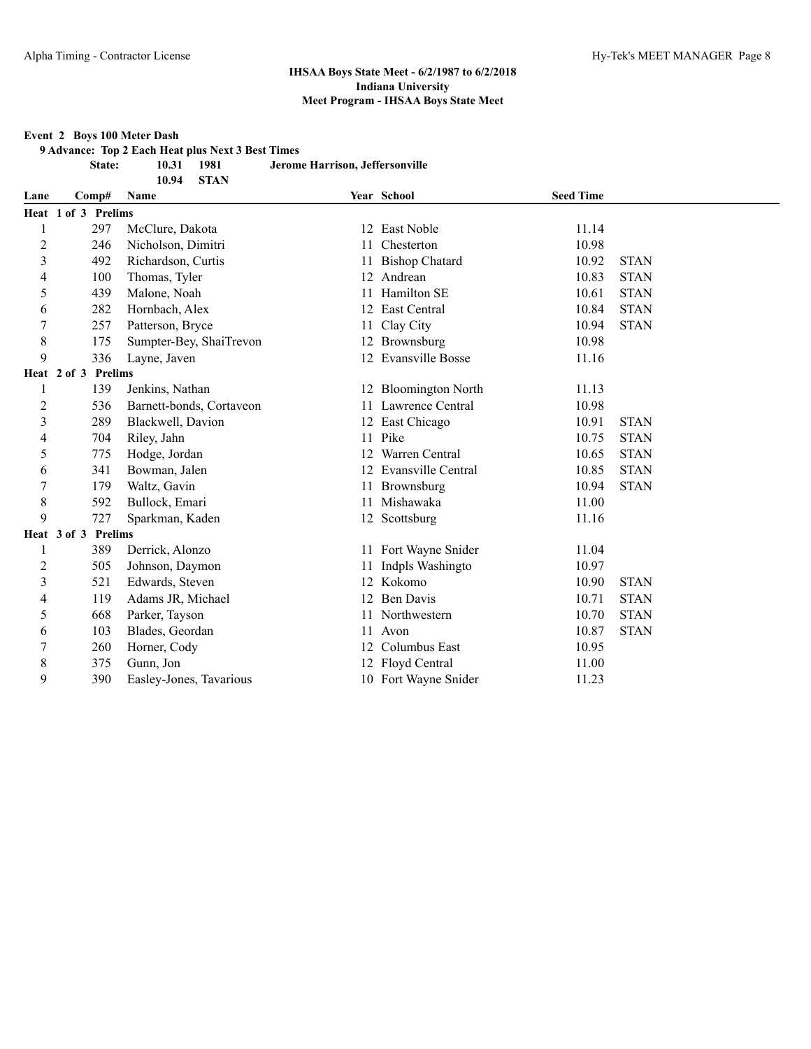#### **Event 2 Boys 100 Meter Dash**

**9 Advance: Top 2 Each Heat plus Next 3 Best Times**

**10.94 STAN**

**State: 10.31 1981 Jerome Harrison, Jeffersonville**

| Lane           | Comp#               | Name                     |    | Year School           | <b>Seed Time</b> |             |  |
|----------------|---------------------|--------------------------|----|-----------------------|------------------|-------------|--|
|                | Heat 1 of 3 Prelims |                          |    |                       |                  |             |  |
|                | 297                 | McClure, Dakota          |    | 12 East Noble         | 11.14            |             |  |
| $\overline{c}$ | 246                 | Nicholson, Dimitri       | 11 | Chesterton            | 10.98            |             |  |
| 3              | 492                 | Richardson, Curtis       | 11 | <b>Bishop Chatard</b> | 10.92            | <b>STAN</b> |  |
| 4              | 100                 | Thomas, Tyler            |    | 12 Andrean            | 10.83            | <b>STAN</b> |  |
| 5              | 439                 | Malone, Noah             | 11 | Hamilton SE           | 10.61            | <b>STAN</b> |  |
| 6              | 282                 | Hornbach, Alex           | 12 | East Central          | 10.84            | <b>STAN</b> |  |
| 7              | 257                 | Patterson, Bryce         | 11 | Clay City             | 10.94            | <b>STAN</b> |  |
| 8              | 175                 | Sumpter-Bey, ShaiTrevon  |    | 12 Brownsburg         | 10.98            |             |  |
| 9              | 336                 | Layne, Javen             |    | 12 Evansville Bosse   | 11.16            |             |  |
|                | Heat 2 of 3 Prelims |                          |    |                       |                  |             |  |
| 1              | 139                 | Jenkins, Nathan          |    | 12 Bloomington North  | 11.13            |             |  |
| $\overline{c}$ | 536                 | Barnett-bonds, Cortaveon | 11 | Lawrence Central      | 10.98            |             |  |
| 3              | 289                 | Blackwell, Davion        |    | 12 East Chicago       | 10.91            | <b>STAN</b> |  |
| 4              | 704                 | Riley, Jahn              |    | 11 Pike               | 10.75            | <b>STAN</b> |  |
| 5              | 775                 | Hodge, Jordan            | 12 | Warren Central        | 10.65            | <b>STAN</b> |  |
| 6              | 341                 | Bowman, Jalen            |    | 12 Evansville Central | 10.85            | <b>STAN</b> |  |
| 7              | 179                 | Waltz, Gavin             |    | 11 Brownsburg         | 10.94            | <b>STAN</b> |  |
| 8              | 592                 | Bullock, Emari           | 11 | Mishawaka             | 11.00            |             |  |
| 9              | 727                 | Sparkman, Kaden          |    | 12 Scottsburg         | 11.16            |             |  |
|                | Heat 3 of 3 Prelims |                          |    |                       |                  |             |  |
| 1              | 389                 | Derrick, Alonzo          |    | 11 Fort Wayne Snider  | 11.04            |             |  |
| $\overline{c}$ | 505                 | Johnson, Daymon          | 11 | Indpls Washingto      | 10.97            |             |  |
| 3              | 521                 | Edwards, Steven          |    | 12 Kokomo             | 10.90            | <b>STAN</b> |  |
| 4              | 119                 | Adams JR, Michael        |    | 12 Ben Davis          | 10.71            | <b>STAN</b> |  |
| 5              | 668                 | Parker, Tayson           | 11 | Northwestern          | 10.70            | <b>STAN</b> |  |
| 6              | 103                 | Blades, Geordan          | 11 | Avon                  | 10.87            | <b>STAN</b> |  |
| 7              | 260                 | Horner, Cody             | 12 | Columbus East         | 10.95            |             |  |
| 8              | 375                 | Gunn, Jon                |    | 12 Floyd Central      | 11.00            |             |  |
| 9              | 390                 | Easley-Jones, Tavarious  |    | 10 Fort Wayne Snider  | 11.23            |             |  |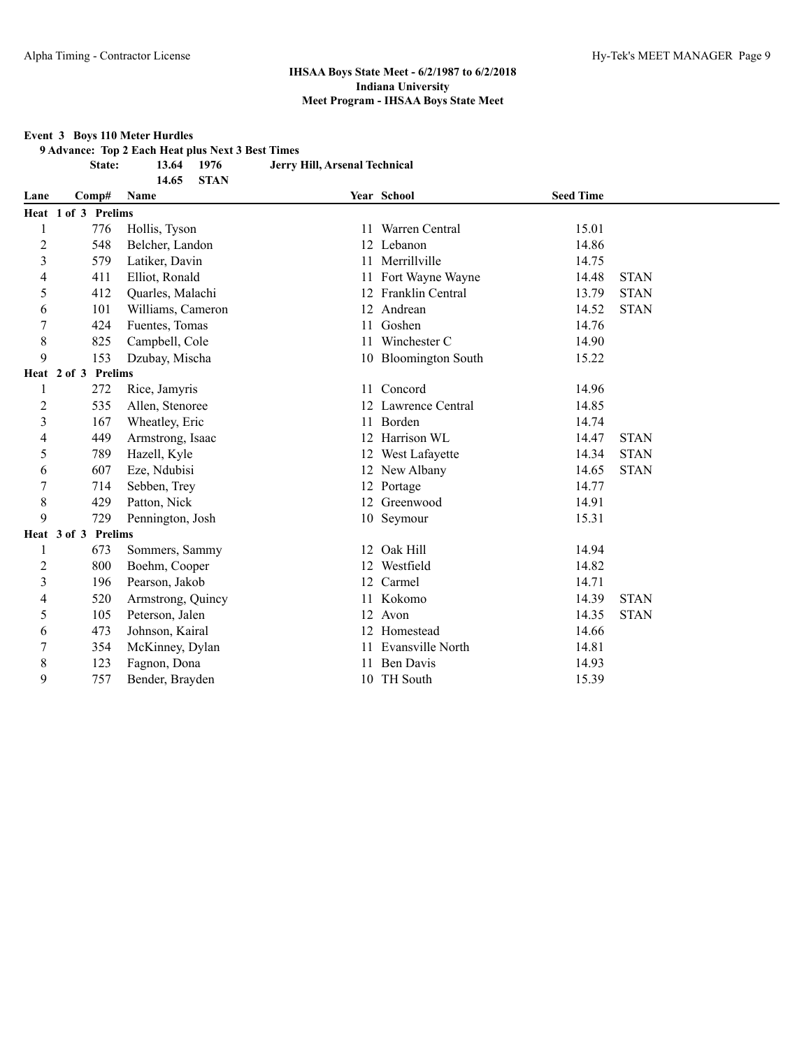#### **Event 3 Boys 110 Meter Hurdles**

**9 Advance: Top 2 Each Heat plus Next 3 Best Times**

**14.65 STAN**

**State: 13.64 1976 Jerry Hill, Arsenal Technical**

| Lane | Comp#                         | <b>Name</b>       |    | Year School          | <b>Seed Time</b> |             |
|------|-------------------------------|-------------------|----|----------------------|------------------|-------------|
|      | Heat 1 of 3 Prelims           |                   |    |                      |                  |             |
|      | 776                           | Hollis, Tyson     |    | 11 Warren Central    | 15.01            |             |
| 2    | 548                           | Belcher, Landon   |    | 12 Lebanon           | 14.86            |             |
| 3    | 579                           | Latiker, Davin    | 11 | Merrillville         | 14.75            |             |
| 4    | 411                           | Elliot, Ronald    |    | 11 Fort Wayne Wayne  | 14.48            | <b>STAN</b> |
| 5    | 412                           | Quarles, Malachi  |    | 12 Franklin Central  | 13.79            | <b>STAN</b> |
| 6    | 101                           | Williams, Cameron |    | 12 Andrean           | 14.52            | <b>STAN</b> |
| 7    | 424                           | Fuentes, Tomas    | 11 | Goshen               | 14.76            |             |
| 8    | 825                           | Campbell, Cole    |    | Winchester C         | 14.90            |             |
| 9    | 153                           | Dzubay, Mischa    |    | 10 Bloomington South | 15.22            |             |
|      | <b>Prelims</b><br>Heat 2 of 3 |                   |    |                      |                  |             |
| 1    | 272                           | Rice, Jamyris     |    | 11 Concord           | 14.96            |             |
| 2    | 535                           | Allen, Stenoree   |    | 12 Lawrence Central  | 14.85            |             |
| 3    | 167                           | Wheatley, Eric    | 11 | Borden               | 14.74            |             |
| 4    | 449                           | Armstrong, Isaac  |    | 12 Harrison WL       | 14.47            | <b>STAN</b> |
| 5    | 789                           | Hazell, Kyle      |    | 12 West Lafayette    | 14.34            | <b>STAN</b> |
| 6    | 607                           | Eze, Ndubisi      |    | 12 New Albany        | 14.65            | <b>STAN</b> |
| 7    | 714                           | Sebben, Trey      |    | 12 Portage           | 14.77            |             |
| 8    | 429                           | Patton, Nick      |    | 12 Greenwood         | 14.91            |             |
| 9    | 729                           | Pennington, Josh  |    | 10 Seymour           | 15.31            |             |
|      | <b>Prelims</b><br>Heat 3 of 3 |                   |    |                      |                  |             |
| 1    | 673                           | Sommers, Sammy    |    | 12 Oak Hill          | 14.94            |             |
| 2    | 800                           | Boehm, Cooper     |    | 12 Westfield         | 14.82            |             |
| 3    | 196                           | Pearson, Jakob    |    | 12 Carmel            | 14.71            |             |
| 4    | 520                           | Armstrong, Quincy |    | 11 Kokomo            | 14.39            | <b>STAN</b> |
| 5    | 105                           | Peterson, Jalen   |    | 12 Avon              | 14.35            | <b>STAN</b> |
| 6    | 473                           | Johnson, Kairal   |    | 12 Homestead         | 14.66            |             |
|      | 354                           | McKinney, Dylan   |    | Evansville North     | 14.81            |             |
| 8    | 123                           | Fagnon, Dona      |    | <b>Ben Davis</b>     | 14.93            |             |
| 9    | 757                           | Bender, Brayden   |    | 10 TH South          | 15.39            |             |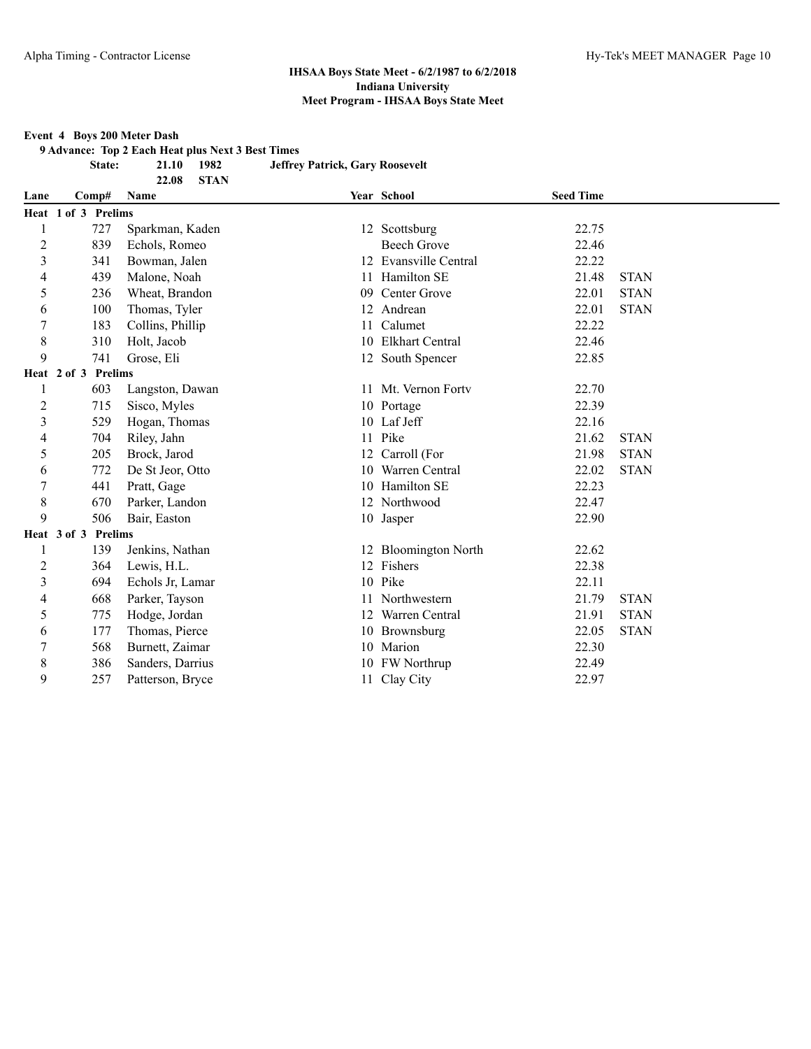#### **Event 4 Boys 200 Meter Dash**

**9 Advance: Top 2 Each Heat plus Next 3 Best Times**

**State: 21.10 1982 Jeffrey Patrick, Gary Roosevelt**

**22.08 STAN Lane Comp# Name Year School Seed Time Heat 1 of 3 Prelims** 727 Sparkman, Kaden 12 Scottsburg 22.75 2 839 Echols, Romeo Beech Grove 22.46 341 Bowman, Jalen 12 Evansville Central 22.22 439 Malone, Noah 11 Hamilton SE 21.48 STAN 236 Wheat, Brandon 09 Center Grove 22.01 STAN 100 Thomas, Tyler 12 Andrean 22.01 STAN 7 183 Collins, Phillip 11 Calumet 22.22 8 310 Holt, Jacob 10 Elkhart Central 22.46 741 Grose, Eli 12 South Spencer 22.85 **Heat 2 of 3 Prelims** 603 Langston, Dawan 11 Mt. Vernon Fortv 22.70 2 715 Sisco, Myles 10 Portage 22.39 529 Hogan, Thomas 10 Laf Jeff 22.16 704 Riley, Jahn 11 Pike 21.62 STAN 205 Brock, Jarod 12 Carroll (For 21.98 STAN 772 De St Jeor, Otto 10 Warren Central 22.02 STAN 441 Pratt, Gage 10 Hamilton SE 22.23 670 Parker, Landon 12 Northwood 22.47 506 Bair, Easton 10 Jasper 22.90 **Heat 3 of 3 Prelims** 139 Jenkins, Nathan 12 Bloomington North 22.62 2 364 Lewis, H.L. 12 Fishers 22.38 694 Echols Jr, Lamar 10 Pike 22.11 668 Parker, Tayson 11 Northwestern 21.79 STAN 775 Hodge, Jordan 12 Warren Central 21.91 STAN 177 Thomas, Pierce 10 Brownsburg 22.05 STAN 568 Burnett, Zaimar 10 Marion 22.30 386 Sanders, Darrius 10 FW Northrup 22.49 257 Patterson, Bryce 11 Clay City 22.97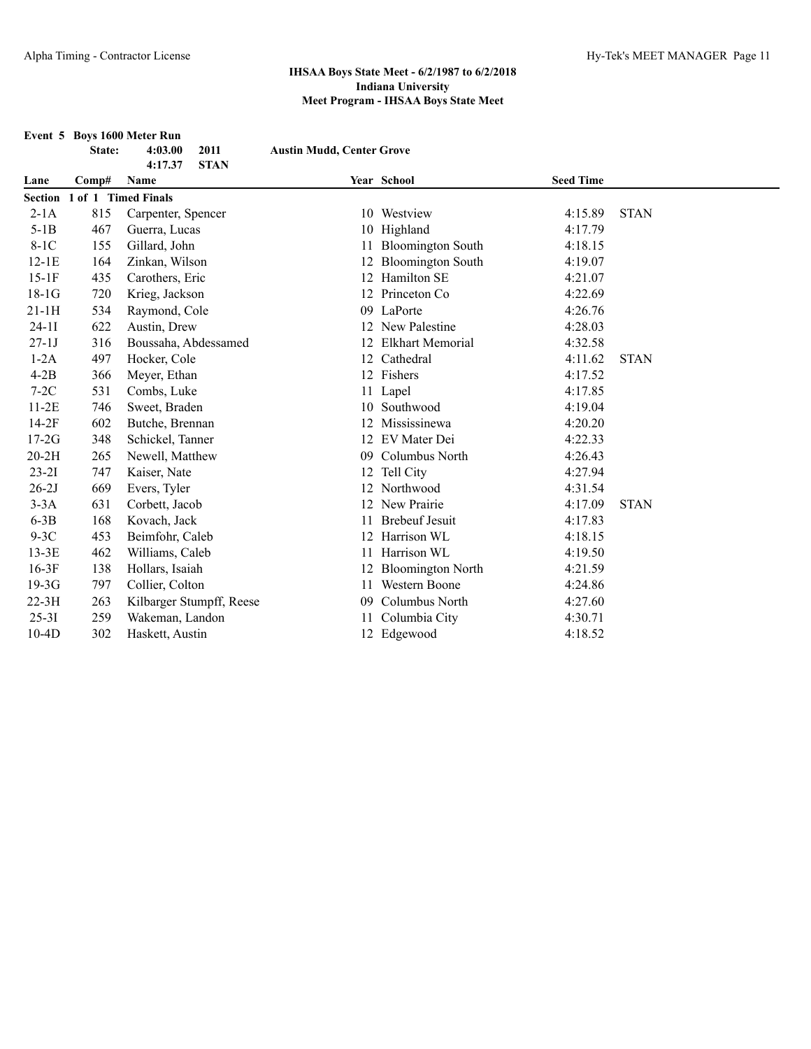|           |                             | Event 5 Boys 1600 Meter Run    |                                  |                          |                  |             |
|-----------|-----------------------------|--------------------------------|----------------------------------|--------------------------|------------------|-------------|
|           | State:                      | 2011<br>4:03.00                | <b>Austin Mudd, Center Grove</b> |                          |                  |             |
| Lane      | Comp#                       | 4:17.37<br><b>STAN</b><br>Name |                                  | Year School              | <b>Seed Time</b> |             |
|           | Section 1 of 1 Timed Finals |                                |                                  |                          |                  |             |
| $2-1A$    | 815                         | Carpenter, Spencer             |                                  | 10 Westview              | 4:15.89          | <b>STAN</b> |
| $5-1B$    | 467                         | Guerra, Lucas                  |                                  | 10 Highland              | 4:17.79          |             |
| $8-1C$    | 155                         | Gillard, John                  |                                  | 11 Bloomington South     | 4:18.15          |             |
| $12-1E$   | 164                         | Zinkan, Wilson                 | 12                               | <b>Bloomington South</b> | 4:19.07          |             |
| $15-1F$   | 435                         | Carothers, Eric                | 12                               | Hamilton SE              | 4:21.07          |             |
| $18-1G$   | 720                         | Krieg, Jackson                 | 12                               | Princeton Co             | 4:22.69          |             |
| $21-1H$   | 534                         | Raymond, Cole                  | 09                               | LaPorte                  | 4:26.76          |             |
| $24-11$   | 622                         | Austin, Drew                   |                                  | New Palestine            | 4:28.03          |             |
| $27-1J$   | 316                         | Boussaha, Abdessamed           |                                  | 12 Elkhart Memorial      | 4:32.58          |             |
| $1-2A$    | 497                         | Hocker, Cole                   |                                  | 12 Cathedral             | 4:11.62          | <b>STAN</b> |
| $4-2B$    | 366                         | Meyer, Ethan                   |                                  | 12 Fishers               | 4:17.52          |             |
| $7-2C$    | 531                         | Combs, Luke                    |                                  | 11 Lapel                 | 4:17.85          |             |
| $11-2E$   | 746                         | Sweet, Braden                  | 10                               | Southwood                | 4:19.04          |             |
| $14-2F$   | 602                         | Butche, Brennan                |                                  | Mississinewa             | 4:20.20          |             |
| $17-2G$   | 348                         | Schickel, Tanner               |                                  | 12 EV Mater Dei          | 4:22.33          |             |
| $20-2H$   | 265                         | Newell, Matthew                | 09                               | Columbus North           | 4:26.43          |             |
| $23 - 21$ | 747                         | Kaiser, Nate                   |                                  | 12 Tell City             | 4:27.94          |             |
| $26-2J$   | 669                         | Evers, Tyler                   |                                  | 12 Northwood             | 4:31.54          |             |
| $3-3A$    | 631                         | Corbett, Jacob                 | 12                               | New Prairie              | 4:17.09          | <b>STAN</b> |
| $6-3B$    | 168                         | Kovach, Jack                   |                                  | <b>Brebeuf Jesuit</b>    | 4:17.83          |             |
| $9-3C$    | 453                         | Beimfohr, Caleb                | 12                               | Harrison WL              | 4:18.15          |             |
| $13-3E$   | 462                         | Williams, Caleb                | 11                               | Harrison WL              | 4:19.50          |             |
| $16-3F$   | 138                         | Hollars, Isaiah                |                                  | <b>Bloomington North</b> | 4:21.59          |             |
| $19-3G$   | 797                         | Collier, Colton                | 11                               | Western Boone            | 4:24.86          |             |
| $22-3H$   | 263                         | Kilbarger Stumpff, Reese       | 09                               | Columbus North           | 4:27.60          |             |
| $25 - 31$ | 259                         | Wakeman, Landon                |                                  | Columbia City            | 4:30.71          |             |
| $10-4D$   | 302                         | Haskett, Austin                |                                  | 12 Edgewood              | 4:18.52          |             |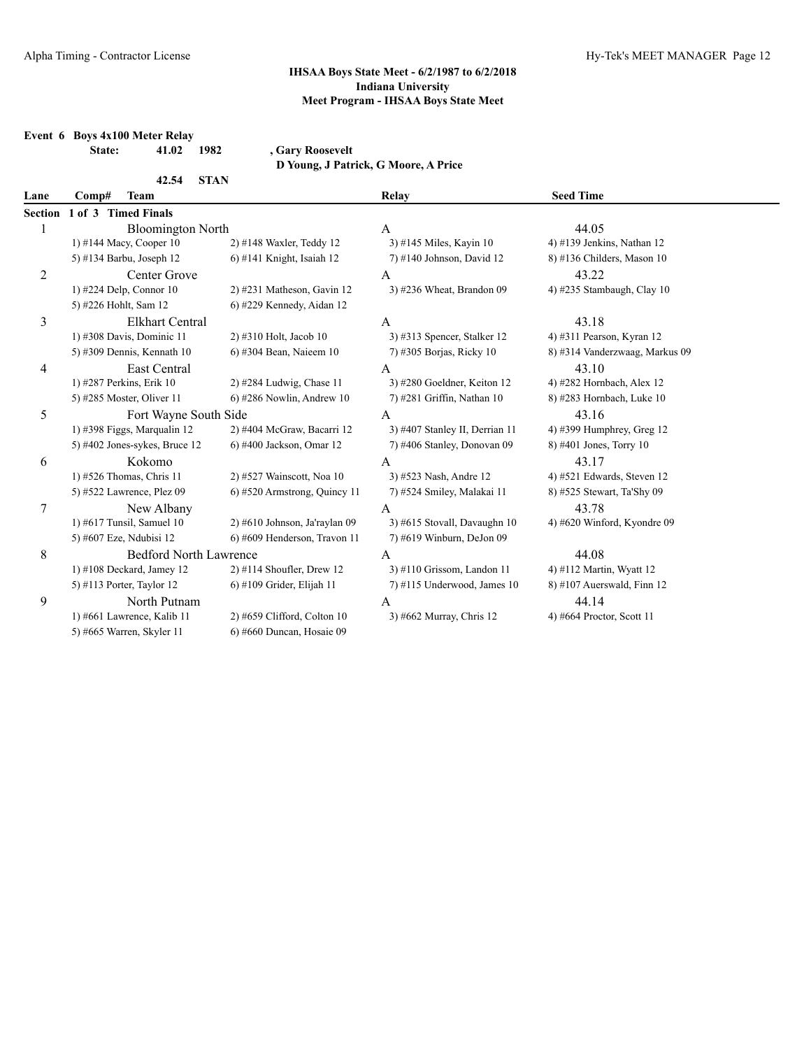|                |                       | Event 6 Boys 4x100 Meter Relay  |             |                               |                                      |                                |
|----------------|-----------------------|---------------------------------|-------------|-------------------------------|--------------------------------------|--------------------------------|
|                | State:                | 41.02                           | 1982        | , Gary Roosevelt              |                                      |                                |
|                |                       |                                 |             |                               | D Young, J Patrick, G Moore, A Price |                                |
| Lane           | Comp#                 | 42.54<br><b>Team</b>            | <b>STAN</b> |                               | Relay                                | <b>Seed Time</b>               |
| <b>Section</b> | 1 of 3 Timed Finals   |                                 |             |                               |                                      |                                |
| 1              |                       | <b>Bloomington North</b>        |             |                               | A                                    | 44.05                          |
|                |                       | 1) #144 Macy, Cooper 10         |             | 2) #148 Waxler, Teddy 12      | 3) #145 Miles, Kayin 10              | 4) #139 Jenkins, Nathan 12     |
|                |                       | 5) #134 Barbu, Joseph 12        |             | $6$ ) #141 Knight, Isaiah 12  | 7) #140 Johnson, David 12            | 8) #136 Childers, Mason 10     |
| 2              |                       | Center Grove                    |             |                               | A                                    | 43.22                          |
|                |                       | 1) #224 Delp, Connor 10         |             | 2) #231 Matheson, Gavin 12    | 3) #236 Wheat, Brandon 09            | 4) #235 Stambaugh, Clay 10     |
|                | 5) #226 Hohlt, Sam 12 |                                 |             | 6) #229 Kennedy, Aidan 12     |                                      |                                |
| 3              |                       | <b>Elkhart Central</b>          |             |                               | $\mathsf{A}$                         | 43.18                          |
|                |                       | 1) #308 Davis, Dominic 11       |             | 2) #310 Holt, Jacob 10        | 3) #313 Spencer, Stalker 12          | 4) #311 Pearson, Kyran 12      |
|                |                       | 5) #309 Dennis, Kennath 10      |             | 6) #304 Bean, Naieem 10       | 7) #305 Borjas, Ricky 10             | 8) #314 Vanderzwaag, Markus 09 |
| 4              |                       | East Central                    |             |                               | A                                    | 43.10                          |
|                |                       | 1) #287 Perkins, Erik 10        |             | $2)$ #284 Ludwig, Chase 11    | 3) #280 Goeldner, Keiton 12          | 4) #282 Hornbach, Alex 12      |
|                |                       | 5) #285 Moster, Oliver 11       |             | 6) #286 Nowlin, Andrew 10     | 7) #281 Griffin, Nathan 10           | 8) #283 Hornbach, Luke 10      |
| 5              |                       | Fort Wayne South Side           |             |                               | A                                    | 43.16                          |
|                |                       | 1) #398 Figgs, Marqualin 12     |             | 2) #404 McGraw, Bacarri 12    | 3) #407 Stanley II, Derrian 11       | 4) #399 Humphrey, Greg 12      |
|                |                       | 5) #402 Jones-sykes, Bruce $12$ |             | 6) #400 Jackson, Omar 12      | 7) #406 Stanley, Donovan 09          | 8) #401 Jones, Torry 10        |
| 6              |                       | Kokomo                          |             |                               | $\mathbf{A}$                         | 43.17                          |
|                |                       | 1) #526 Thomas, Chris 11        |             | 2) #527 Wainscott, Noa 10     | 3) #523 Nash, Andre 12               | 4) #521 Edwards, Steven 12     |
|                |                       | 5) #522 Lawrence, Plez 09       |             | 6) #520 Armstrong, Quincy 11  | 7) #524 Smiley, Malakai 11           | 8) #525 Stewart, Ta'Shy 09     |
| 7              |                       | New Albany                      |             |                               | A                                    | 43.78                          |
|                |                       | 1) #617 Tunsil, Samuel $10$     |             | 2) #610 Johnson, Ja'raylan 09 | 3) #615 Stovall, Davaughn 10         | 4) #620 Winford, Kyondre 09    |
|                |                       | 5) #607 Eze, Ndubisi 12         |             | 6) #609 Henderson, Travon 11  | 7) #619 Winburn, DeJon 09            |                                |
| 8              |                       | <b>Bedford North Lawrence</b>   |             |                               | $\overline{A}$                       | 44.08                          |
|                |                       | $1)$ #108 Deckard, Jamey 12     |             | $2)$ #114 Shoufler, Drew 12   | $3)$ #110 Grissom, Landon 11         | 4) #112 Martin, Wyatt 12       |
|                |                       | 5) #113 Porter, Taylor 12       |             | $6$ ) #109 Grider, Elijah 11  | $7)$ #115 Underwood, James 10        | 8) #107 Auerswald, Finn $12$   |
| 9              |                       | North Putnam                    |             |                               | A                                    | 44.14                          |
|                |                       | 1) #661 Lawrence, Kalib 11      |             | 2) #659 Clifford, Colton 10   | 3) #662 Murray, Chris 12             | 4) #664 Proctor, Scott 11      |
|                |                       | 5) #665 Warren, Skyler 11       |             | 6) #660 Duncan, Hosaie 09     |                                      |                                |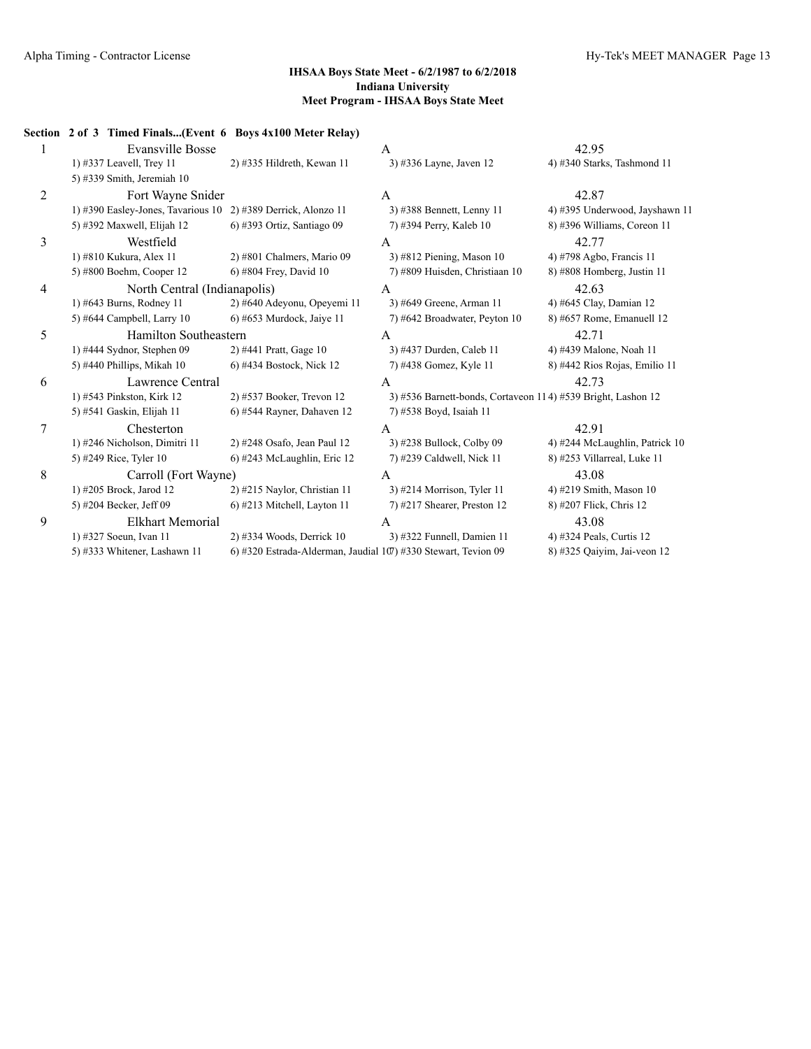|                | Section 2 of 3 Timed Finals(Event 6 Boys 4x100 Meter Relay)   |                                                                |                                                              |                                |  |
|----------------|---------------------------------------------------------------|----------------------------------------------------------------|--------------------------------------------------------------|--------------------------------|--|
|                | <b>Evansville Bosse</b>                                       |                                                                | A                                                            | 42.95                          |  |
|                | 1) #337 Leavell, Trey 11                                      | 2) #335 Hildreth, Kewan 11                                     | 3) #336 Layne, Javen 12                                      | 4) #340 Starks, Tashmond 11    |  |
|                | 5) #339 Smith, Jeremiah 10                                    |                                                                |                                                              |                                |  |
| $\overline{2}$ | Fort Wayne Snider                                             |                                                                | A                                                            | 42.87                          |  |
|                | 1) #390 Easley-Jones, Tavarious 10 2) #389 Derrick, Alonzo 11 |                                                                | 3) #388 Bennett, Lenny 11                                    | 4) #395 Underwood, Jayshawn 11 |  |
|                | 5) #392 Maxwell, Elijah 12                                    | 6) #393 Ortiz, Santiago 09                                     | 7) #394 Perry, Kaleb 10                                      | 8) #396 Williams, Coreon 11    |  |
| 3              | Westfield                                                     |                                                                | A                                                            | 42.77                          |  |
|                | 1) #810 Kukura, Alex 11                                       | 2) #801 Chalmers, Mario 09                                     | $3)$ #812 Piening, Mason 10                                  | 4) #798 Agbo, Francis 11       |  |
|                | 5) #800 Boehm, Cooper 12                                      | 6) #804 Frey, David 10                                         | 7) #809 Huisden, Christiaan 10                               | 8) #808 Homberg, Justin 11     |  |
| 4              | North Central (Indianapolis)                                  |                                                                | A                                                            | 42.63                          |  |
|                | 1) #643 Burns, Rodney 11                                      | 2) #640 Adeyonu, Opeyemi 11                                    | 3) #649 Greene, Arman 11                                     | 4) #645 Clay, Damian 12        |  |
|                | 5) #644 Campbell, Larry 10                                    | $6$ ) #653 Murdock, Jaiye 11                                   | 7) #642 Broadwater, Peyton 10                                | 8) #657 Rome, Emanuell 12      |  |
| 5              | Hamilton Southeastern                                         |                                                                | A                                                            | 42.71                          |  |
|                | 1) #444 Sydnor, Stephen 09                                    | 2) #441 Pratt, Gage 10                                         | 3) #437 Durden, Caleb 11                                     | 4) #439 Malone, Noah 11        |  |
|                | 5) #440 Phillips, Mikah 10                                    | 6) #434 Bostock, Nick 12                                       | 7) #438 Gomez, Kyle 11                                       | 8) #442 Rios Rojas, Emilio 11  |  |
| 6              | Lawrence Central                                              |                                                                | A                                                            | 42.73                          |  |
|                | 1) #543 Pinkston, Kirk 12                                     | 2) #537 Booker, Trevon 12                                      | 3) #536 Barnett-bonds, Cortaveon 114) #539 Bright, Lashon 12 |                                |  |
|                | 5) #541 Gaskin, Elijah 11                                     | 6) #544 Rayner, Dahaven 12                                     | 7) #538 Boyd, Isaiah 11                                      |                                |  |
| 7              | Chesterton                                                    |                                                                | A                                                            | 42.91                          |  |
|                | 1) #246 Nicholson, Dimitri 11                                 | 2) #248 Osafo, Jean Paul 12                                    | 3) #238 Bullock, Colby 09                                    | 4) #244 McLaughlin, Patrick 10 |  |
|                | 5) #249 Rice, Tyler 10                                        | 6) #243 McLaughlin, Eric 12                                    | 7) #239 Caldwell, Nick 11                                    | 8) #253 Villarreal, Luke 11    |  |
| 8              | Carroll (Fort Wayne)                                          |                                                                | A                                                            | 43.08                          |  |
|                | 1) #205 Brock, Jarod 12                                       | 2) #215 Naylor, Christian 11                                   | 3) #214 Morrison, Tyler 11                                   | 4) #219 Smith, Mason 10        |  |
|                | 5) #204 Becker, Jeff 09                                       | 6) #213 Mitchell, Layton 11                                    | $(7)$ #217 Shearer, Preston 12                               | 8) #207 Flick, Chris 12        |  |
| 9              | Elkhart Memorial                                              |                                                                | A                                                            | 43.08                          |  |
|                | 1) #327 Soeun, Ivan 11                                        | 2) #334 Woods, Derrick 10                                      | 3) #322 Funnell, Damien 11                                   | 4) #324 Peals, Curtis 12       |  |
|                | 5) #333 Whitener, Lashawn 11                                  | 6) #320 Estrada-Alderman, Jaudial 107) #330 Stewart, Tevion 09 |                                                              | 8) #325 Qaiyim, Jai-veon 12    |  |
|                |                                                               |                                                                |                                                              |                                |  |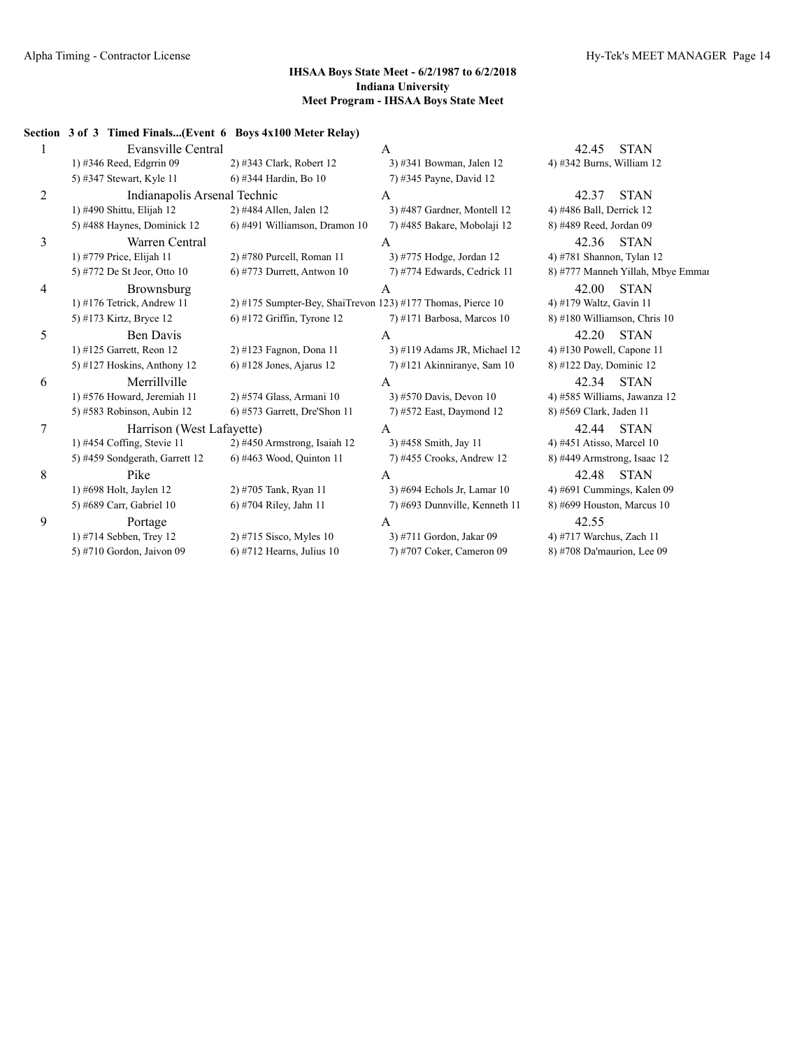|   | Section 3 of 3 Timed Finals(Event 6 Boys 4x100 Meter Relay) |                                                               |                               |                                   |
|---|-------------------------------------------------------------|---------------------------------------------------------------|-------------------------------|-----------------------------------|
|   | Evansville Central                                          |                                                               | A                             | <b>STAN</b><br>42.45              |
|   | 1) #346 Reed, Edgrrin 09                                    | 2) #343 Clark, Robert 12                                      | 3) #341 Bowman, Jalen 12      | 4) #342 Burns, William 12         |
|   | 5) #347 Stewart, Kyle 11                                    | 6) #344 Hardin, Bo 10                                         | 7) #345 Payne, David 12       |                                   |
| 2 | Indianapolis Arsenal Technic                                |                                                               | А                             | <b>STAN</b><br>42.37              |
|   | 1) #490 Shittu, Elijah 12                                   | 2) #484 Allen, Jalen 12                                       | 3) #487 Gardner, Montell 12   | 4) #486 Ball, Derrick 12          |
|   | 5) #488 Haynes, Dominick 12                                 | 6) #491 Williamson, Dramon 10                                 | 7) #485 Bakare, Mobolaji 12   | 8) #489 Reed, Jordan 09           |
| 3 | Warren Central                                              |                                                               | A                             | <b>STAN</b><br>42.36              |
|   | 1) #779 Price, Elijah 11                                    | 2) #780 Purcell, Roman 11                                     | 3) #775 Hodge, Jordan 12      | 4) #781 Shannon, Tylan 12         |
|   | 5) #772 De St Jeor, Otto 10                                 | $6$ ) #773 Durrett, Antwon 10                                 | 7) #774 Edwards, Cedrick 11   | 8) #777 Manneh Yillah, Mbye Emmar |
| 4 | Brownsburg                                                  |                                                               |                               | <b>STAN</b><br>42.00              |
|   | 1) #176 Tetrick, Andrew 11                                  | $2)$ #175 Sumpter-Bey, ShaiTrevon 123) #177 Thomas, Pierce 10 |                               | 4) #179 Waltz, Gavin 11           |
|   | 5) #173 Kirtz, Bryce 12                                     | $6$ ) #172 Griffin, Tyrone 12                                 | $7)$ #171 Barbosa, Marcos 10  | 8) #180 Williamson, Chris 10      |
| 5 | Ben Davis                                                   |                                                               | A                             | <b>STAN</b><br>42.20              |
|   | 1) #125 Garrett, Reon 12                                    | 2) #123 Fagnon, Dona 11                                       | 3) #119 Adams JR, Michael 12  | 4) #130 Powell, Capone 11         |
|   | 5) #127 Hoskins, Anthony 12                                 | $6$ ) #128 Jones, Ajarus 12                                   | 7) #121 Akinniranye, Sam 10   | 8) #122 Day, Dominic 12           |
| 6 | Merrillville                                                |                                                               | А                             | 42.34<br><b>STAN</b>              |
|   | 1) #576 Howard, Jeremiah 11                                 | 2) #574 Glass, Armani 10                                      | 3) #570 Davis, Devon 10       | 4) #585 Williams, Jawanza 12      |
|   | 5) #583 Robinson, Aubin 12                                  | $6$ ) #573 Garrett, Dre'Shon 11                               | 7) #572 East, Daymond 12      | 8) #569 Clark, Jaden 11           |
| 7 | Harrison (West Lafayette)                                   |                                                               | A                             | <b>STAN</b><br>42.44              |
|   | 1) #454 Coffing, Stevie $11$                                | 2) #450 Armstrong, Isaiah 12                                  | 3) #458 Smith, Jay 11         | 4) #451 Atisso, Marcel 10         |
|   | 5) #459 Sondgerath, Garrett 12                              | 6) #463 Wood, Quinton 11                                      | 7) #455 Crooks, Andrew 12     | 8) #449 Armstrong, Isaac 12       |
| 8 | Pike                                                        |                                                               | A                             | 42.48<br><b>STAN</b>              |
|   | 1) #698 Holt, Jaylen 12                                     | 2) #705 Tank, Ryan 11                                         | 3) #694 Echols Jr, Lamar 10   | 4) #691 Cummings, Kalen 09        |
|   | 5) #689 Carr, Gabriel 10                                    | 6) #704 Riley, Jahn 11                                        | 7) #693 Dunnville, Kenneth 11 | 8) #699 Houston, Marcus 10        |
| 9 | Portage                                                     |                                                               | A                             | 42.55                             |
|   | 1) #714 Sebben, Trey 12                                     | 2) #715 Sisco, Myles $10$                                     | 3) #711 Gordon, Jakar 09      | 4) #717 Warchus, Zach 11          |
|   | 5) #710 Gordon, Jaivon 09                                   | $(6)$ #712 Hearns, Julius 10                                  | 7) #707 Coker, Cameron 09     | 8) #708 Da'maurion, Lee 09        |
|   |                                                             |                                                               |                               |                                   |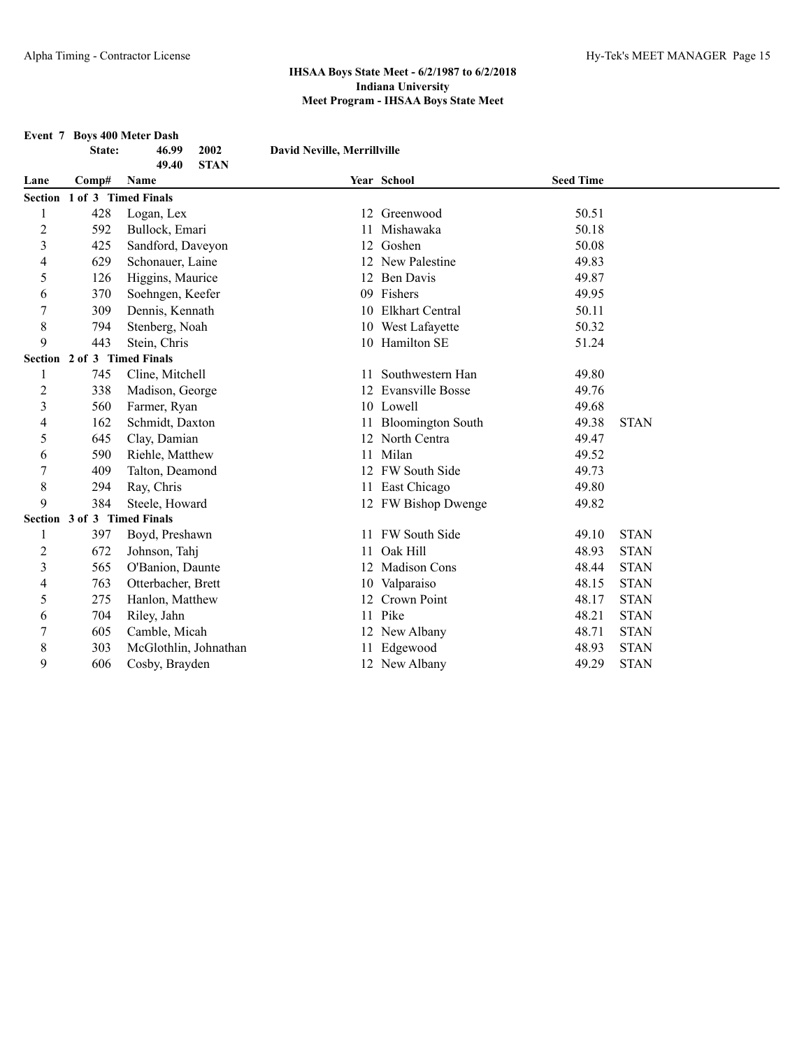**Event 7 Boys 400 Meter Dash State: 46.99 2002 David Neville, Merrillville 49.40 STAN Lane Comp# Name Year School Seed Time Section 1 of 3 Timed Finals** 428 Logan, Lex 12 Greenwood 50.51 592 Bullock, Emari 11 Mishawaka 50.18 425 Sandford, Daveyon 12 Goshen 50.08 629 Schonauer, Laine 12 New Palestine 49.83 126 Higgins, Maurice 12 Ben Davis 49.87 370 Soehngen, Keefer 09 Fishers 49.95 309 Dennis, Kennath 10 Elkhart Central 50.11 794 Stenberg, Noah 10 West Lafayette 50.32 443 Stein, Chris 10 Hamilton SE 51.24 **Section 2 of 3 Timed Finals** 1 745 Cline, Mitchell 11 Southwestern Han 49.80 2 338 Madison, George 12 Evansville Bosse 49.76 3 560 Farmer, Ryan 10 Lowell 49.68 162 Schmidt, Daxton 11 Bloomington South 49.38 STAN 645 Clay, Damian 12 North Centra 49.47 590 Riehle, Matthew 11 Milan 49.52 409 Talton, Deamond 12 FW South Side 49.73 8 294 Ray, Chris 11 East Chicago 49.80 9 384 Steele, Howard 12 FW Bishop Dwenge 49.82 **Section 3 of 3 Timed Finals** 397 Boyd, Preshawn 11 FW South Side 49.10 STAN 672 Johnson, Tahj 11 Oak Hill 48.93 STAN 565 O'Banion, Daunte 12 Madison Cons 48.44 STAN 763 Otterbacher, Brett 10 Valparaiso 48.15 STAN 275 Hanlon, Matthew 12 Crown Point 48.17 STAN 704 Riley, Jahn 11 Pike 48.21 STAN 605 Camble, Micah 12 New Albany 48.71 STAN 303 McGlothlin, Johnathan 11 Edgewood 48.93 STAN 606 Cosby, Brayden 12 New Albany 49.29 STAN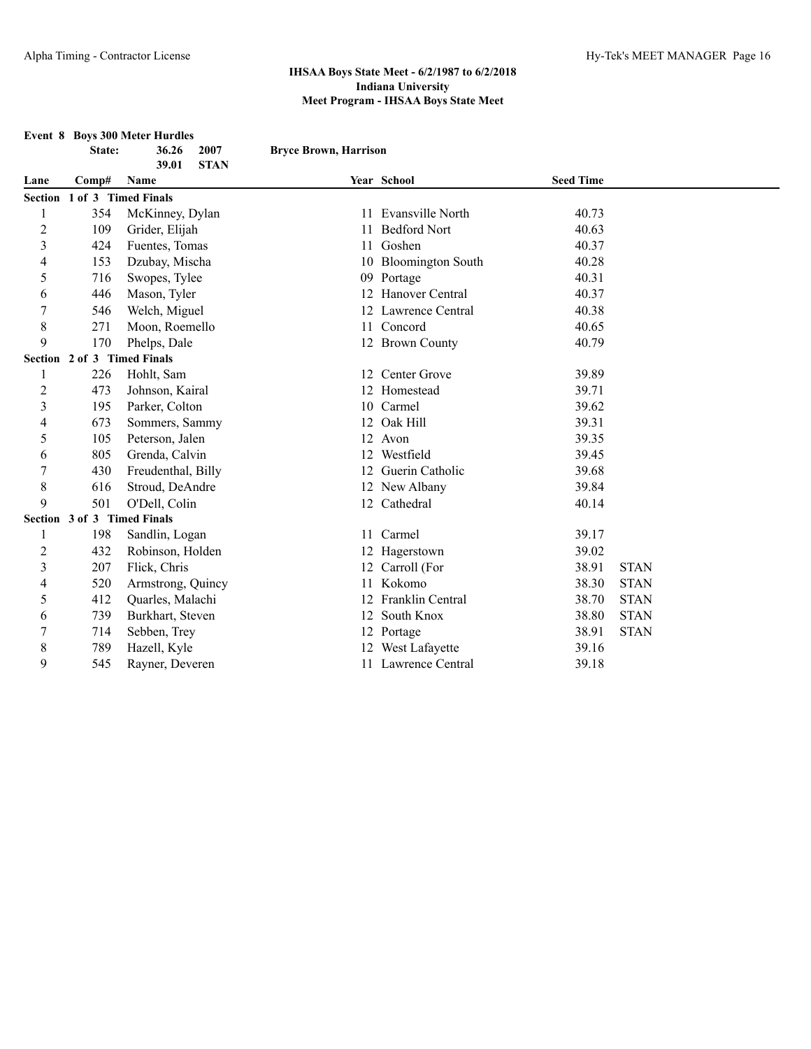| <b>Event 8 Boys 300 Meter Hurdles</b> |                             |                      |                              |                      |                  |             |
|---------------------------------------|-----------------------------|----------------------|------------------------------|----------------------|------------------|-------------|
|                                       | State:                      | 2007<br>36.26        | <b>Bryce Brown, Harrison</b> |                      |                  |             |
|                                       |                             | <b>STAN</b><br>39.01 |                              |                      |                  |             |
| Lane                                  | Comp#                       | Name                 |                              | Year School          | <b>Seed Time</b> |             |
| <b>Section</b>                        |                             | 1 of 3 Timed Finals  |                              |                      |                  |             |
|                                       | 354                         | McKinney, Dylan      |                              | 11 Evansville North  | 40.73            |             |
| $\overline{c}$                        | 109                         | Grider, Elijah       |                              | 11 Bedford Nort      | 40.63            |             |
| 3                                     | 424                         | Fuentes, Tomas       |                              | 11 Goshen            | 40.37            |             |
| 4                                     | 153                         | Dzubay, Mischa       |                              | 10 Bloomington South | 40.28            |             |
| 5                                     | 716                         | Swopes, Tylee        |                              | 09 Portage           | 40.31            |             |
| 6                                     | 446                         | Mason, Tyler         |                              | 12 Hanover Central   | 40.37            |             |
| 7                                     | 546                         | Welch, Miguel        |                              | 12 Lawrence Central  | 40.38            |             |
| 8                                     | 271                         | Moon, Roemello       |                              | 11 Concord           | 40.65            |             |
| 9                                     | 170                         | Phelps, Dale         |                              | 12 Brown County      | 40.79            |             |
|                                       | Section 2 of 3 Timed Finals |                      |                              |                      |                  |             |
| 1                                     | 226                         | Hohlt, Sam           |                              | 12 Center Grove      | 39.89            |             |
| $\overline{c}$                        | 473                         | Johnson, Kairal      |                              | 12 Homestead         | 39.71            |             |
| $\overline{3}$                        | 195                         | Parker, Colton       |                              | 10 Carmel            | 39.62            |             |
| 4                                     | 673                         | Sommers, Sammy       |                              | 12 Oak Hill          | 39.31            |             |
| 5                                     | 105                         | Peterson, Jalen      |                              | 12 Avon              | 39.35            |             |
| 6                                     | 805                         | Grenda, Calvin       |                              | 12 Westfield         | 39.45            |             |
| 7                                     | 430                         | Freudenthal, Billy   |                              | 12 Guerin Catholic   | 39.68            |             |
| 8                                     | 616                         | Stroud, DeAndre      |                              | 12 New Albany        | 39.84            |             |
| 9                                     | 501                         | O'Dell, Colin        |                              | 12 Cathedral         | 40.14            |             |
|                                       | Section 3 of 3 Timed Finals |                      |                              |                      |                  |             |
| 1                                     | 198                         | Sandlin, Logan       |                              | 11 Carmel            | 39.17            |             |
| $\overline{c}$                        | 432                         | Robinson, Holden     |                              | 12 Hagerstown        | 39.02            |             |
| 3                                     | 207                         | Flick, Chris         |                              | 12 Carroll (For      | 38.91            | <b>STAN</b> |
| 4                                     | 520                         | Armstrong, Quincy    |                              | 11 Kokomo            | 38.30            | <b>STAN</b> |
| 5                                     | 412                         | Quarles, Malachi     |                              | 12 Franklin Central  | 38.70            | <b>STAN</b> |
| 6                                     | 739                         | Burkhart, Steven     |                              | 12 South Knox        | 38.80            | <b>STAN</b> |
| 7                                     | 714                         | Sebben, Trey         |                              | 12 Portage           | 38.91            | <b>STAN</b> |
| 8                                     | 789                         | Hazell, Kyle         |                              | 12 West Lafayette    | 39.16            |             |
| 9                                     | 545                         | Rayner, Deveren      |                              | 11 Lawrence Central  | 39.18            |             |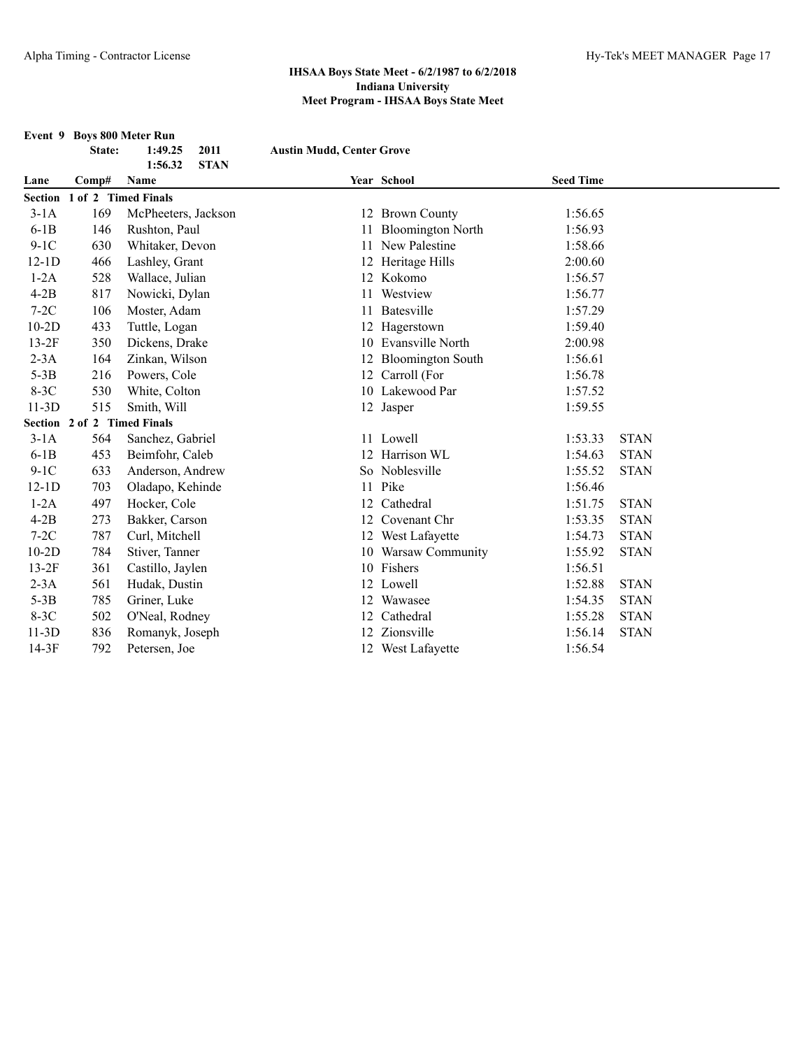|         | State:                      | Event 9 Boys 800 Meter Run<br>2011<br>1:49.25 | <b>Austin Mudd, Center Grove</b> |                      |                  |             |
|---------|-----------------------------|-----------------------------------------------|----------------------------------|----------------------|------------------|-------------|
|         |                             | <b>STAN</b><br>1:56.32                        |                                  |                      |                  |             |
| Lane    | Comp#                       | Name                                          |                                  | Year School          | <b>Seed Time</b> |             |
| Section |                             | 1 of 2 Timed Finals                           |                                  |                      |                  |             |
| $3-1A$  | 169                         | McPheeters, Jackson                           |                                  | 12 Brown County      | 1:56.65          |             |
| $6-1B$  | 146                         | Rushton, Paul                                 |                                  | 11 Bloomington North | 1:56.93          |             |
| $9-1C$  | 630                         | Whitaker, Devon                               |                                  | 11 New Palestine     | 1:58.66          |             |
| $12-1D$ | 466                         | Lashley, Grant                                |                                  | 12 Heritage Hills    | 2:00.60          |             |
| $1-2A$  | 528                         | Wallace, Julian                               |                                  | 12 Kokomo            | 1:56.57          |             |
| $4-2B$  | 817                         | Nowicki, Dylan                                |                                  | 11 Westview          | 1:56.77          |             |
| $7-2C$  | 106                         | Moster, Adam                                  | 11                               | Batesville           | 1:57.29          |             |
| $10-2D$ | 433                         | Tuttle, Logan                                 |                                  | 12 Hagerstown        | 1:59.40          |             |
| $13-2F$ | 350                         | Dickens, Drake                                |                                  | 10 Evansville North  | 2:00.98          |             |
| $2-3A$  | 164                         | Zinkan, Wilson                                |                                  | 12 Bloomington South | 1:56.61          |             |
| $5-3B$  | 216                         | Powers, Cole                                  |                                  | 12 Carroll (For      | 1:56.78          |             |
| $8-3C$  | 530                         | White, Colton                                 |                                  | 10 Lakewood Par      | 1:57.52          |             |
| $11-3D$ | 515                         | Smith, Will                                   |                                  | 12 Jasper            | 1:59.55          |             |
|         | Section 2 of 2 Timed Finals |                                               |                                  |                      |                  |             |
| $3-1A$  | 564                         | Sanchez, Gabriel                              |                                  | 11 Lowell            | 1:53.33          | <b>STAN</b> |
| $6-1B$  | 453                         | Beimfohr, Caleb                               |                                  | 12 Harrison WL       | 1:54.63          | <b>STAN</b> |
| $9-1C$  | 633                         | Anderson, Andrew                              |                                  | So Noblesville       | 1:55.52          | <b>STAN</b> |
| $12-1D$ | 703                         | Oladapo, Kehinde                              |                                  | 11 Pike              | 1:56.46          |             |
| $1-2A$  | 497                         | Hocker, Cole                                  | 12                               | Cathedral            | 1:51.75          | <b>STAN</b> |
| $4-2B$  | 273                         | Bakker, Carson                                |                                  | 12 Covenant Chr      | 1:53.35          | <b>STAN</b> |
| $7-2C$  | 787                         | Curl, Mitchell                                |                                  | 12 West Lafayette    | 1:54.73          | <b>STAN</b> |
| $10-2D$ | 784                         | Stiver, Tanner                                |                                  | 10 Warsaw Community  | 1:55.92          | <b>STAN</b> |
| $13-2F$ | 361                         | Castillo, Jaylen                              |                                  | 10 Fishers           | 1:56.51          |             |
| $2-3A$  | 561                         | Hudak, Dustin                                 |                                  | 12 Lowell            | 1:52.88          | <b>STAN</b> |
| $5-3B$  | 785                         | Griner, Luke                                  |                                  | 12 Wawasee           | 1:54.35          | <b>STAN</b> |
| $8-3C$  | 502                         | O'Neal, Rodney                                |                                  | 12 Cathedral         | 1:55.28          | <b>STAN</b> |
| $11-3D$ | 836                         | Romanyk, Joseph                               |                                  | 12 Zionsville        | 1:56.14          | <b>STAN</b> |
| $14-3F$ | 792                         | Petersen, Joe                                 |                                  | 12 West Lafayette    | 1:56.54          |             |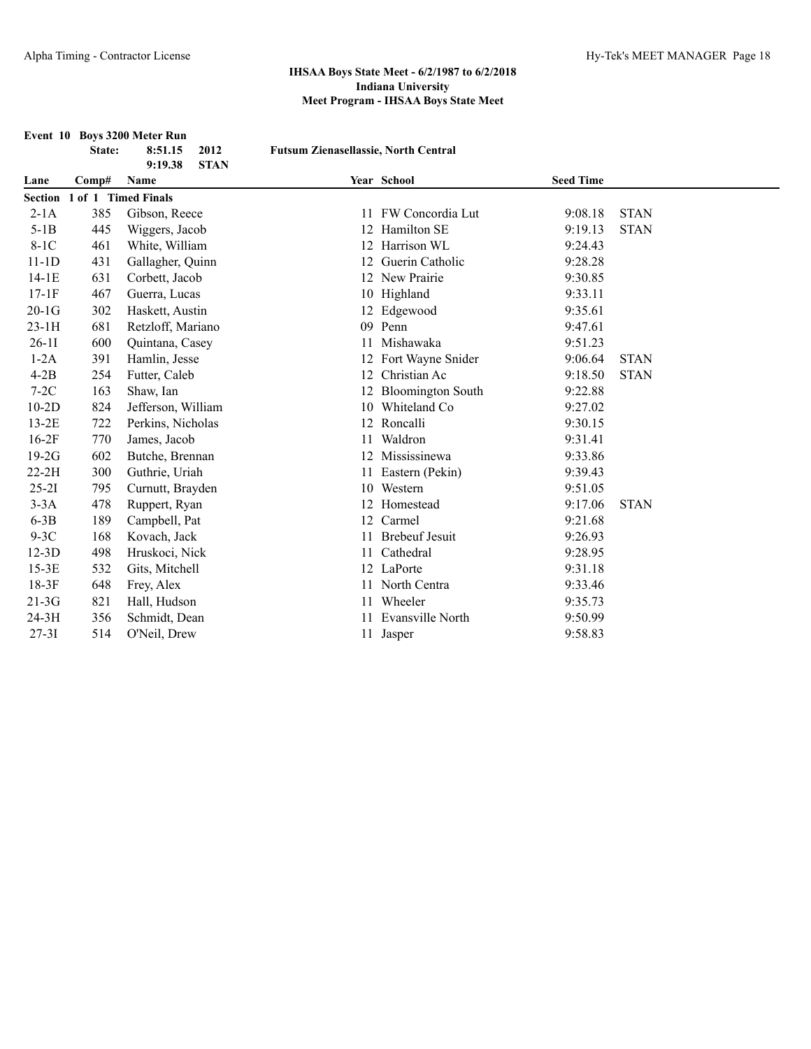|           |        | Event 10 Boys 3200 Meter Run   |                                             |                       |                  |             |
|-----------|--------|--------------------------------|---------------------------------------------|-----------------------|------------------|-------------|
|           | State: | 8:51.15<br>2012                | <b>Futsum Zienasellassie, North Central</b> |                       |                  |             |
| Lane      | Comp#  | <b>STAN</b><br>9:19.38<br>Name |                                             | Year School           | <b>Seed Time</b> |             |
|           |        | Section 1 of 1 Timed Finals    |                                             |                       |                  |             |
| $2-1A$    | 385    | Gibson, Reece                  | 11                                          | FW Concordia Lut      | 9:08.18          | <b>STAN</b> |
| $5-1B$    | 445    | Wiggers, Jacob                 |                                             | 12 Hamilton SE        | 9:19.13          | <b>STAN</b> |
| $8-1C$    | 461    | White, William                 |                                             | 12 Harrison WL        | 9:24.43          |             |
| $11-1D$   | 431    | Gallagher, Quinn               |                                             | 12 Guerin Catholic    | 9:28.28          |             |
| $14-1E$   | 631    | Corbett, Jacob                 |                                             | 12 New Prairie        | 9:30.85          |             |
| $17-1F$   | 467    | Guerra, Lucas                  |                                             | 10 Highland           | 9:33.11          |             |
| $20-1G$   | 302    | Haskett, Austin                |                                             | 12 Edgewood           | 9:35.61          |             |
| $23-1H$   | 681    | Retzloff, Mariano              | 09                                          | Penn                  | 9:47.61          |             |
| $26-11$   | 600    | Quintana, Casey                |                                             | 11 Mishawaka          | 9:51.23          |             |
| $1-2A$    | 391    | Hamlin, Jesse                  |                                             | 12 Fort Wayne Snider  | 9:06.64          | <b>STAN</b> |
| $4-2B$    | 254    | Futter, Caleb                  |                                             | 12 Christian Ac       | 9:18.50          | <b>STAN</b> |
| $7-2C$    | 163    | Shaw, Ian                      |                                             | 12 Bloomington South  | 9:22.88          |             |
| $10-2D$   | 824    | Jefferson, William             |                                             | 10 Whiteland Co       | 9:27.02          |             |
| $13-2E$   | 722    | Perkins, Nicholas              |                                             | 12 Roncalli           | 9:30.15          |             |
| $16-2F$   | 770    | James, Jacob                   | 11                                          | Waldron               | 9:31.41          |             |
| $19-2G$   | 602    | Butche, Brennan                |                                             | 12 Mississinewa       | 9:33.86          |             |
| $22-2H$   | 300    | Guthrie, Uriah                 |                                             | 11 Eastern (Pekin)    | 9:39.43          |             |
| $25-21$   | 795    | Curnutt, Brayden               |                                             | 10 Western            | 9:51.05          |             |
| $3-3A$    | 478    | Ruppert, Ryan                  |                                             | 12 Homestead          | 9:17.06          | <b>STAN</b> |
| $6-3B$    | 189    | Campbell, Pat                  |                                             | 12 Carmel             | 9:21.68          |             |
| $9-3C$    | 168    | Kovach, Jack                   | 11                                          | <b>Brebeuf Jesuit</b> | 9:26.93          |             |
| $12-3D$   | 498    | Hruskoci, Nick                 | 11                                          | Cathedral             | 9:28.95          |             |
| $15-3E$   | 532    | Gits, Mitchell                 |                                             | 12 LaPorte            | 9:31.18          |             |
| $18-3F$   | 648    | Frey, Alex                     |                                             | 11 North Centra       | 9:33.46          |             |
| $21-3G$   | 821    | Hall, Hudson                   |                                             | 11 Wheeler            | 9:35.73          |             |
| $24-3H$   | 356    | Schmidt, Dean                  | 11                                          | Evansville North      | 9:50.99          |             |
| $27 - 31$ | 514    | O'Neil, Drew                   |                                             | 11 Jasper             | 9:58.83          |             |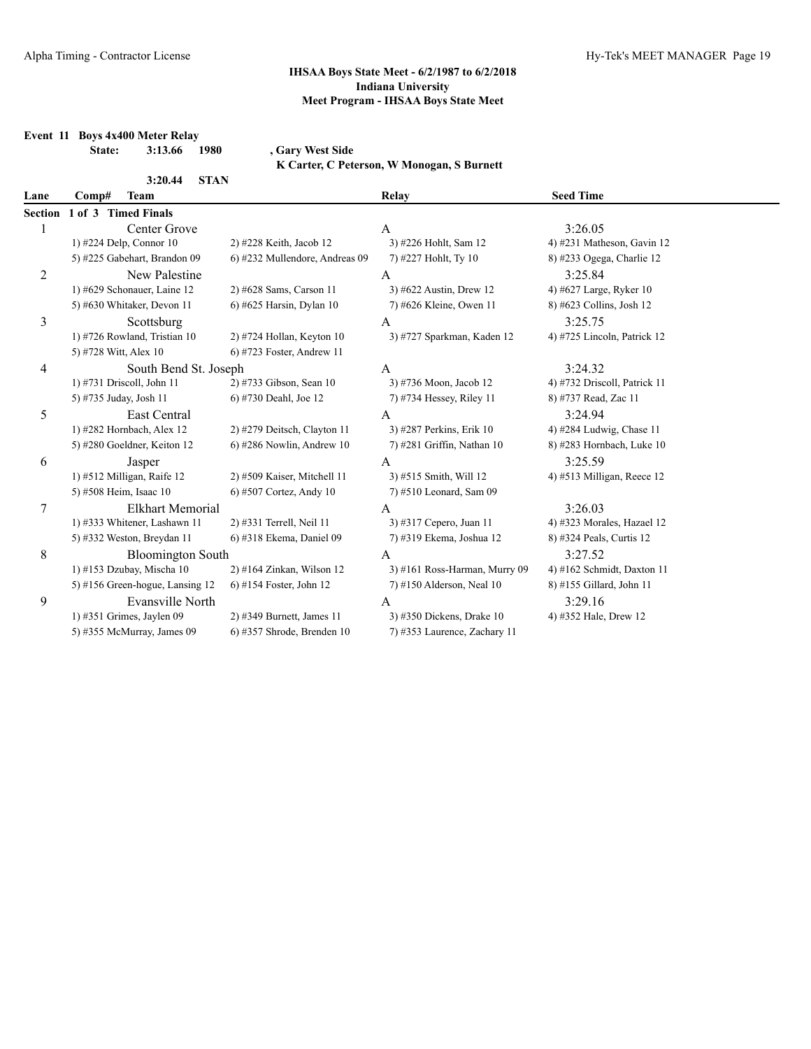# **Event 11 Boys 4x400 Meter Relay**

**State: 3:13.66 1980 , Gary West Side**

**K Carter, C Peterson, W Monogan, S Burnett**

| 3:20.44                           |                                |                                                                  |                              |
|-----------------------------------|--------------------------------|------------------------------------------------------------------|------------------------------|
| Comp#<br><b>Team</b>              |                                | Relay                                                            | <b>Seed Time</b>             |
| Section 1 of 3 Timed Finals       |                                |                                                                  |                              |
| Center Grove                      |                                | $\mathbf{A}$                                                     | 3:26.05                      |
| 1) #224 Delp, Connor 10           | 2) #228 Keith, Jacob 12        | 3) #226 Hohlt, Sam 12                                            | 4) #231 Matheson, Gavin $12$ |
| 5) #225 Gabehart, Brandon 09      | 6) #232 Mullendore, Andreas 09 | 7) #227 Hohlt, Ty 10                                             | 8) #233 Ogega, Charlie 12    |
| New Palestine                     |                                | A                                                                | 3:25.84                      |
| 1) #629 Schonauer, Laine 12       | 2) #628 Sams, Carson 11        | 3) #622 Austin, Drew 12                                          | 4) #627 Large, Ryker 10      |
| 5) #630 Whitaker, Devon 11        | 6) #625 Harsin, Dylan 10       | 7) #626 Kleine, Owen 11                                          | 8) #623 Collins, Josh 12     |
| Scottsburg                        |                                | A                                                                | 3:25.75                      |
| 1) #726 Rowland, Tristian 10      | $2)$ #724 Hollan, Keyton 10    | 3) #727 Sparkman, Kaden 12                                       | 4) #725 Lincoln, Patrick 12  |
| 5) #728 Witt, Alex 10             | $6$ ) #723 Foster, Andrew 11   |                                                                  |                              |
|                                   |                                | $\mathbf{A}$                                                     | 3:24.32                      |
| 1) #731 Driscoll, John 11         | 2) #733 Gibson, Sean 10        | 3) #736 Moon, Jacob 12                                           | 4) #732 Driscoll, Patrick 11 |
| 5) #735 Juday, Josh 11            | 6) #730 Deahl, Joe 12          | 7) #734 Hessey, Riley 11                                         | 8) #737 Read, Zac 11         |
| <b>East Central</b>               |                                | $\overline{A}$                                                   | 3:24.94                      |
| 1) #282 Hornbach, Alex 12         | 2) #279 Deitsch, Clayton 11    | 3) #287 Perkins, Erik 10                                         | 4) #284 Ludwig, Chase 11     |
| 5) #280 Goeldner, Keiton 12       | $6$ ) #286 Nowlin, Andrew 10   | 7) #281 Griffin, Nathan 10                                       | 8) #283 Hornbach, Luke 10    |
| Jasper                            |                                | A                                                                | 3:25.59                      |
| 1) #512 Milligan, Raife 12        | 2) #509 Kaiser, Mitchell 11    | 3) #515 Smith, Will 12                                           | 4) #513 Milligan, Reece 12   |
| 5) #508 Heim, Isaac 10            | 6) #507 Cortez, Andy 10        | 7) #510 Leonard, Sam 09                                          |                              |
| Elkhart Memorial                  |                                | А                                                                | 3:26.03                      |
| 1) #333 Whitener, Lashawn 11      | 2) #331 Terrell, Neil 11       | 3) #317 Cepero, Juan 11                                          | 4) #323 Morales, Hazael 12   |
| 5) #332 Weston, Breydan 11        | 6) #318 Ekema, Daniel 09       | 7) #319 Ekema, Joshua 12                                         | 8) #324 Peals, Curtis 12     |
|                                   |                                | $\mathbf{A}$                                                     | 3:27.52                      |
| 1) #153 Dzubay, Mischa 10         | 2) #164 Zinkan, Wilson 12      | 3) #161 Ross-Harman, Murry 09                                    | 4) #162 Schmidt, Daxton 11   |
| 5) #156 Green-hogue, Lansing $12$ | 6) #154 Foster, John 12        | $7)$ #150 Alderson, Neal 10                                      | 8) #155 Gillard, John 11     |
| Evansville North                  |                                | $\mathsf{A}$                                                     | 3:29.16                      |
| 1) #351 Grimes, Jaylen 09         | 2) #349 Burnett, James 11      | 3) #350 Dickens, Drake 10                                        | 4) #352 Hale, Drew 12        |
| 5) #355 McMurray, James 09        | $6$ ) #357 Shrode, Brenden 10  | 7) #353 Laurence, Zachary 11                                     |                              |
|                                   |                                | <b>STAN</b><br>South Bend St. Joseph<br><b>Bloomington South</b> |                              |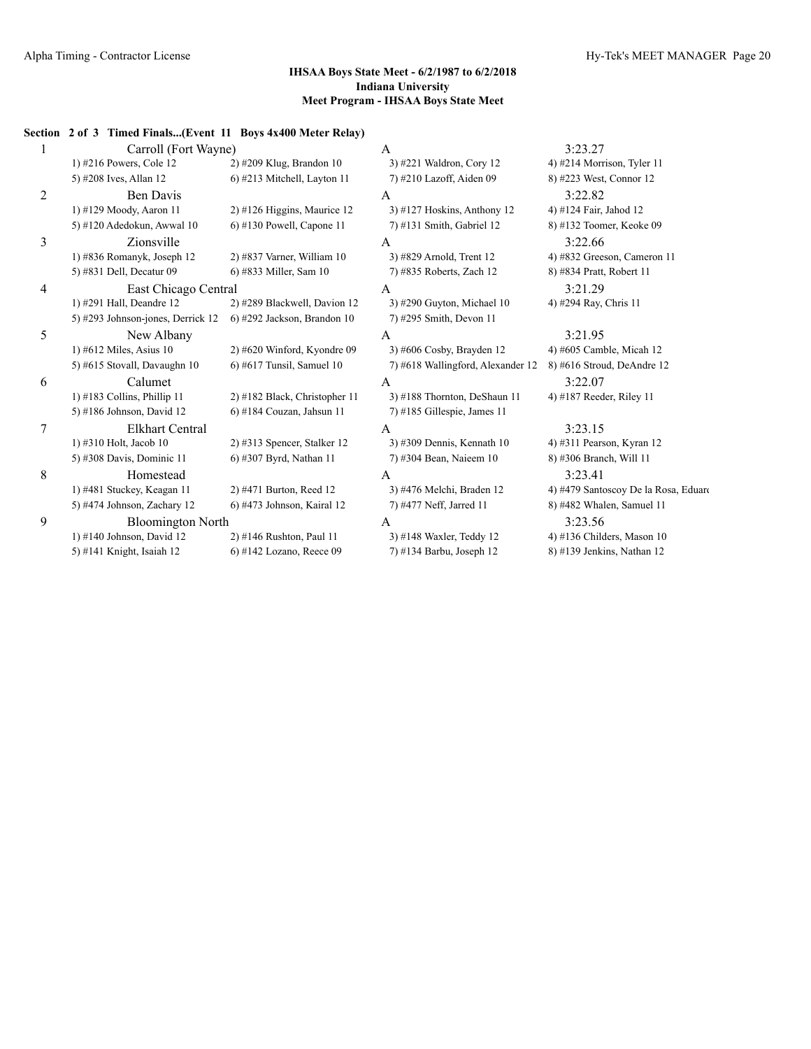|             | Section 2 of 3 Timed Finals(Event 11 Boys 4x400 Meter Relay) |                               |                                   |                                      |
|-------------|--------------------------------------------------------------|-------------------------------|-----------------------------------|--------------------------------------|
|             | Carroll (Fort Wayne)                                         |                               | 3:23.27<br>A                      |                                      |
|             | 1) #216 Powers, Cole 12                                      | 2) #209 Klug, Brandon 10      | 3) #221 Waldron, Cory 12          | 4) #214 Morrison, Tyler 11           |
|             | 5) #208 Ives, Allan 12                                       | 6) #213 Mitchell, Layton 11   | 7) #210 Lazoff, Aiden 09          | 8) #223 West, Connor 12              |
| 2           | Ben Davis                                                    |                               | A                                 | 3:22.82                              |
|             | 1) #129 Moody, Aaron 11                                      | 2) #126 Higgins, Maurice 12   | 3) #127 Hoskins, Anthony 12       | 4) #124 Fair, Jahod 12               |
|             | 5) #120 Adedokun, Awwal 10                                   | 6) #130 Powell, Capone 11     | $7)$ #131 Smith, Gabriel 12       | 8) #132 Toomer, Keoke 09             |
| 3           | Zionsville                                                   |                               | A                                 | 3:22.66                              |
|             | 1) #836 Romanyk, Joseph 12                                   | $2)$ #837 Varner, William 10  | 3) #829 Arnold, Trent 12          | 4) #832 Greeson, Cameron 11          |
|             | 5) #831 Dell, Decatur 09                                     | 6) #833 Miller, Sam 10        | 7) #835 Roberts, Zach 12          | 8) #834 Pratt, Robert 11             |
| 4           | East Chicago Central                                         |                               | A                                 | 3:21.29                              |
|             | 1) #291 Hall, Deandre 12                                     | 2) #289 Blackwell, Davion 12  | 3) #290 Guyton, Michael $10$      | 4) #294 Ray, Chris 11                |
|             | 5) #293 Johnson-jones, Derrick 12                            | 6) #292 Jackson, Brandon 10   | 7) #295 Smith, Devon 11           |                                      |
| 5           | New Albany                                                   |                               | A                                 | 3:21.95                              |
|             | 1) #612 Miles, Asius $10$                                    | $2)$ #620 Winford, Kyondre 09 | $3)$ #606 Cosby, Brayden 12       | 4) #605 Camble, Micah 12             |
|             | 5) #615 Stovall, Davaughn 10                                 | $6$ ) #617 Tunsil, Samuel 10  | 7) #618 Wallingford, Alexander 12 | 8) #616 Stroud, DeAndre 12           |
| 6           | Calumet                                                      |                               | A                                 | 3:22.07                              |
|             | 1) $\#183$ Collins, Phillip 11                               | 2) #182 Black, Christopher 11 | 3) #188 Thornton, DeShaun 11      | 4) #187 Reeder, Riley 11             |
|             | 5) #186 Johnson, David 12                                    | $6$ ) #184 Couzan, Jahsun 11  | $7)$ #185 Gillespie, James 11     |                                      |
| 7           | <b>Elkhart Central</b>                                       |                               | A                                 | 3:23.15                              |
|             | 1) #310 Holt, Jacob 10                                       | $2)$ #313 Spencer, Stalker 12 | 3) #309 Dennis, Kennath 10        | 4) #311 Pearson, Kyran 12            |
|             | 5) #308 Davis, Dominic 11                                    | 6) #307 Byrd, Nathan 11       | 7) #304 Bean, Naieem 10           | 8) #306 Branch, Will 11              |
| $\,$ 8 $\,$ | Homestead                                                    |                               | A                                 | 3:23.41                              |
|             | 1) #481 Stuckey, Keagan 11                                   | 2) #471 Burton, Reed 12       | 3) #476 Melchi, Braden 12         | 4) #479 Santoscoy De la Rosa, Eduard |
|             | 5) #474 Johnson, Zachary 12                                  | 6) #473 Johnson, Kairal 12    | 7) #477 Neff, Jarred 11           | 8) #482 Whalen, Samuel 11            |
| 9           | <b>Bloomington North</b>                                     |                               | A                                 | 3:23.56                              |
|             | 1) #140 Johnson, David $12$                                  | 2) #146 Rushton, Paul 11      | 3) #148 Waxler, Teddy 12          | 4) #136 Childers, Mason $10$         |
|             | 5) #141 Knight, Isaiah 12                                    | $6$ ) #142 Lozano, Reece 09   | 7) #134 Barbu, Joseph 12          | 8) #139 Jenkins, Nathan 12           |
|             |                                                              |                               |                                   |                                      |